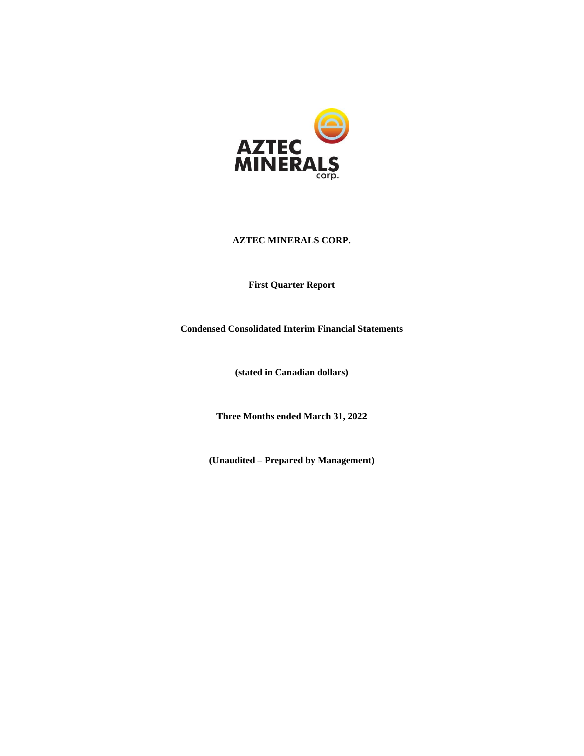

**First Quarter Report**

**Condensed Consolidated Interim Financial Statements**

**(stated in Canadian dollars)**

**Three Months ended March 31, 2022**

**(Unaudited – Prepared by Management)**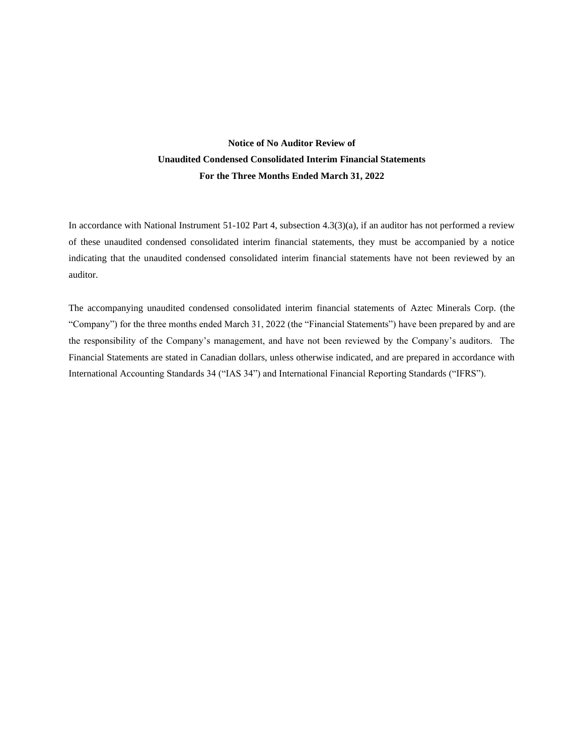## **Notice of No Auditor Review of Unaudited Condensed Consolidated Interim Financial Statements For the Three Months Ended March 31, 2022**

In accordance with National Instrument 51-102 Part 4, subsection 4.3(3)(a), if an auditor has not performed a review of these unaudited condensed consolidated interim financial statements, they must be accompanied by a notice indicating that the unaudited condensed consolidated interim financial statements have not been reviewed by an auditor.

The accompanying unaudited condensed consolidated interim financial statements of Aztec Minerals Corp. (the "Company") for the three months ended March 31, 2022 (the "Financial Statements") have been prepared by and are the responsibility of the Company's management, and have not been reviewed by the Company's auditors. The Financial Statements are stated in Canadian dollars, unless otherwise indicated, and are prepared in accordance with International Accounting Standards 34 ("IAS 34") and International Financial Reporting Standards ("IFRS").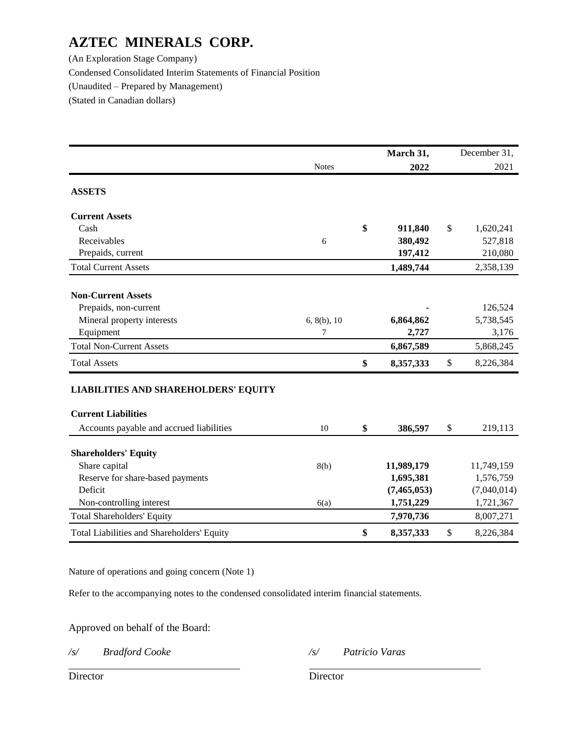(An Exploration Stage Company) Condensed Consolidated Interim Statements of Financial Position (Unaudited – Prepared by Management) (Stated in Canadian dollars)

|                                             |              | March 31,       | December 31,    |
|---------------------------------------------|--------------|-----------------|-----------------|
|                                             | <b>Notes</b> | 2022            | 2021            |
| <b>ASSETS</b>                               |              |                 |                 |
| <b>Current Assets</b>                       |              |                 |                 |
| Cash                                        |              | \$<br>911,840   | \$<br>1,620,241 |
| Receivables                                 | 6            | 380,492         | 527,818         |
| Prepaids, current                           |              | 197,412         | 210,080         |
| <b>Total Current Assets</b>                 |              | 1,489,744       | 2,358,139       |
| <b>Non-Current Assets</b>                   |              |                 |                 |
| Prepaids, non-current                       |              |                 | 126,524         |
| Mineral property interests                  | 6, 8(b), 10  | 6,864,862       | 5,738,545       |
| Equipment                                   | 7            | 2,727           | 3,176           |
| <b>Total Non-Current Assets</b>             |              | 6,867,589       | 5,868,245       |
| <b>Total Assets</b>                         |              | \$<br>8,357,333 | \$<br>8,226,384 |
| <b>LIABILITIES AND SHAREHOLDERS' EQUITY</b> |              |                 |                 |
| <b>Current Liabilities</b>                  |              |                 |                 |
| Accounts payable and accrued liabilities    | 10           | \$<br>386,597   | \$<br>219,113   |
| <b>Shareholders' Equity</b>                 |              |                 |                 |
| Share capital                               | 8(b)         | 11,989,179      | 11,749,159      |
| Reserve for share-based payments            |              | 1,695,381       | 1,576,759       |
| Deficit                                     |              | (7, 465, 053)   | (7,040,014)     |
| Non-controlling interest                    | 6(a)         | 1,751,229       | 1,721,367       |
| <b>Total Shareholders' Equity</b>           |              | 7,970,736       | 8,007,271       |
| Total Liabilities and Shareholders' Equity  |              | \$<br>8,357,333 | \$<br>8,226,384 |

Nature of operations and going concern (Note 1)

Refer to the accompanying notes to the condensed consolidated interim financial statements.

Approved on behalf of the Board:

*/s/ Bradford Cooke /s/ Patricio Varas*

Director Director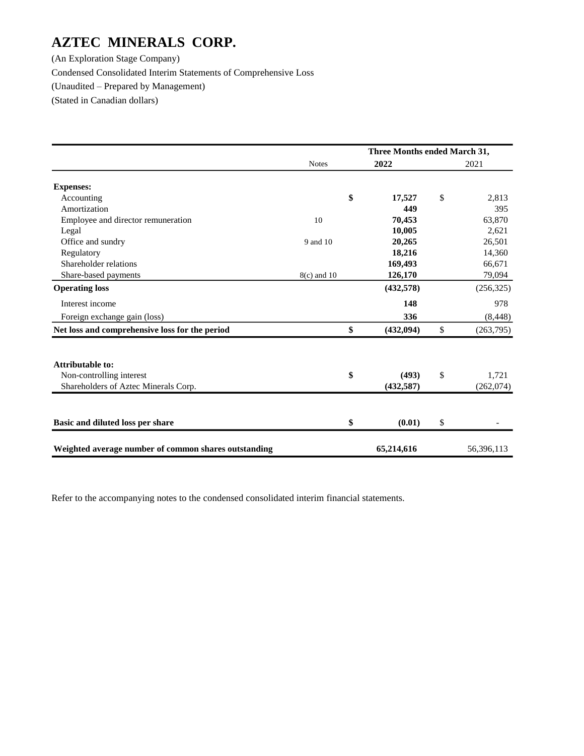(An Exploration Stage Company) Condensed Consolidated Interim Statements of Comprehensive Loss (Unaudited – Prepared by Management) (Stated in Canadian dollars)

|                                                      |               |    | Three Months ended March 31, |                 |
|------------------------------------------------------|---------------|----|------------------------------|-----------------|
|                                                      | <b>Notes</b>  |    | 2022                         | 2021            |
| <b>Expenses:</b>                                     |               |    |                              |                 |
| Accounting                                           |               | \$ | 17,527                       | \$<br>2,813     |
| Amortization                                         |               |    | 449                          | 395             |
| Employee and director remuneration                   | 10            |    | 70,453                       | 63,870          |
| Legal                                                |               |    | 10,005                       | 2,621           |
| Office and sundry                                    | 9 and 10      |    | 20,265                       | 26,501          |
| Regulatory                                           |               |    | 18,216                       | 14,360          |
| Shareholder relations                                |               |    | 169,493                      | 66,671          |
| Share-based payments                                 | $8(c)$ and 10 |    | 126,170                      | 79,094          |
| <b>Operating loss</b>                                |               |    | (432,578)                    | (256, 325)      |
| Interest income                                      |               |    | 148                          | 978             |
| Foreign exchange gain (loss)                         |               |    | 336                          | (8, 448)        |
| Net loss and comprehensive loss for the period       |               | \$ | (432,094)                    | \$<br>(263,795) |
| <b>Attributable to:</b>                              |               |    |                              |                 |
| Non-controlling interest                             |               | \$ | (493)                        | \$<br>1,721     |
| Shareholders of Aztec Minerals Corp.                 |               |    | (432, 587)                   | (262, 074)      |
|                                                      |               |    |                              |                 |
| Basic and diluted loss per share                     |               | \$ | (0.01)                       | \$              |
| Weighted average number of common shares outstanding |               |    | 65,214,616                   | 56,396,113      |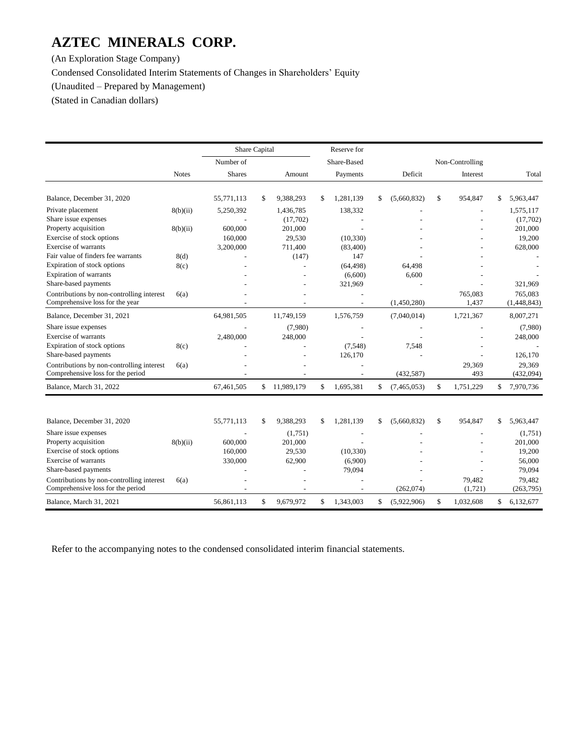(An Exploration Stage Company)

Condensed Consolidated Interim Statements of Changes in Shareholders' Equity

(Unaudited – Prepared by Management)

(Stated in Canadian dollars)

|                                                                                                        |              | Share Capital                 |                                        | Reserve for                  |                   |                   |                                        |
|--------------------------------------------------------------------------------------------------------|--------------|-------------------------------|----------------------------------------|------------------------------|-------------------|-------------------|----------------------------------------|
|                                                                                                        |              | Number of                     |                                        | Share-Based                  |                   | Non-Controlling   |                                        |
|                                                                                                        | <b>Notes</b> | <b>Shares</b>                 | Amount                                 | Payments                     | Deficit           | Interest          | Total                                  |
| Balance, December 31, 2020                                                                             |              | 55,771,113                    | \$<br>9,388,293                        | \$<br>1,281,139              | \$<br>(5,660,832) | \$<br>954,847     | \$<br>5,963,447                        |
| Private placement<br>Share issue expenses                                                              | 8(b)(ii)     | 5,250,392                     | 1,436,785<br>(17,702)                  | 138,332                      |                   |                   | 1,575,117<br>(17,702)                  |
| Property acquisition<br>Exercise of stock options                                                      | 8(b)(ii)     | 600,000<br>160,000            | 201,000<br>29,530                      | (10, 330)                    |                   |                   | 201,000<br>19,200                      |
| Exercise of warrants<br>Fair value of finders fee warrants<br>Expiration of stock options              | 8(d)<br>8(c) | 3,200,000                     | 711,400<br>(147)                       | (83,400)<br>147<br>(64, 498) | 64,498            |                   | 628,000                                |
| Expiration of warrants<br>Share-based payments                                                         |              |                               |                                        | (6,600)<br>321,969           | 6,600             |                   | 321,969                                |
| Contributions by non-controlling interest<br>Comprehensive loss for the year                           | 6(a)         |                               |                                        |                              | (1,450,280)       | 765,083<br>1,437  | 765,083<br>(1,448,843)                 |
| Balance, December 31, 2021                                                                             |              | 64,981,505                    | 11,749,159                             | 1,576,759                    | (7,040,014)       | 1,721,367         | 8,007,271                              |
| Share issue expenses<br>Exercise of warrants                                                           |              | 2,480,000                     | (7,980)<br>248,000                     |                              |                   |                   | (7,980)<br>248,000                     |
| Expiration of stock options<br>Share-based payments                                                    | 8(c)         |                               |                                        | (7,548)<br>126,170           | 7,548             |                   | 126,170                                |
| Contributions by non-controlling interest<br>Comprehensive loss for the period                         | 6(a)         |                               |                                        |                              | (432, 587)        | 29.369<br>493     | 29,369<br>(432,094)                    |
| Balance, March 31, 2022                                                                                |              | 67,461,505                    | \$11,989,179                           | \$<br>1,695,381              | \$<br>(7,465,053) | \$<br>1,751,229   | \$<br>7,970,736                        |
| Balance, December 31, 2020                                                                             |              | 55,771,113                    | \$<br>9,388,293                        | \$<br>1,281,139              | \$<br>(5,660,832) | \$<br>954,847     | \$<br>5,963,447                        |
| Share issue expenses<br>Property acquisition<br>Exercise of stock options<br>Exercise of warrants      | 8(b)(ii)     | 600,000<br>160,000<br>330,000 | (1,751)<br>201,000<br>29,530<br>62,900 | (10, 330)<br>(6,900)         |                   |                   | (1,751)<br>201,000<br>19,200<br>56,000 |
| Share-based payments<br>Contributions by non-controlling interest<br>Comprehensive loss for the period | 6(a)         |                               |                                        | 79,094                       | (262, 074)        | 79,482<br>(1,721) | 79,094<br>79,482<br>(263,795)          |
| Balance, March 31, 2021                                                                                |              | 56.861.113                    | \$<br>9,679,972                        | \$<br>1,343,003              | \$<br>(5,922,906) | \$<br>1,032,608   | \$<br>6,132,677                        |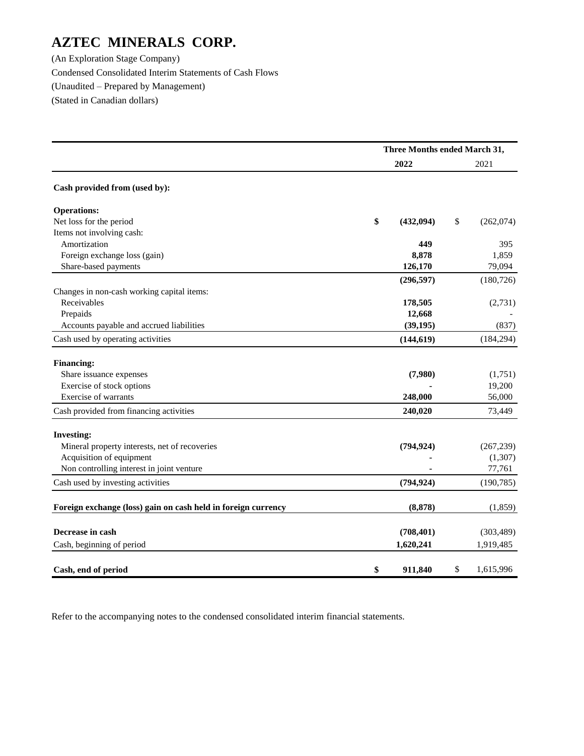(An Exploration Stage Company) Condensed Consolidated Interim Statements of Cash Flows (Unaudited – Prepared by Management) (Stated in Canadian dollars)

|                                                               | Three Months ended March 31, |            |    |            |  |  |  |
|---------------------------------------------------------------|------------------------------|------------|----|------------|--|--|--|
|                                                               |                              | 2022       |    | 2021       |  |  |  |
| Cash provided from (used by):                                 |                              |            |    |            |  |  |  |
| <b>Operations:</b>                                            |                              |            |    |            |  |  |  |
| Net loss for the period                                       | \$                           | (432,094)  | \$ | (262,074)  |  |  |  |
| Items not involving cash:                                     |                              |            |    |            |  |  |  |
| Amortization                                                  |                              | 449        |    | 395        |  |  |  |
| Foreign exchange loss (gain)                                  |                              | 8,878      |    | 1,859      |  |  |  |
| Share-based payments                                          |                              | 126,170    |    | 79,094     |  |  |  |
|                                                               |                              | (296, 597) |    | (180, 726) |  |  |  |
| Changes in non-cash working capital items:                    |                              |            |    |            |  |  |  |
| Receivables                                                   |                              | 178,505    |    | (2,731)    |  |  |  |
| Prepaids                                                      |                              | 12,668     |    |            |  |  |  |
| Accounts payable and accrued liabilities                      |                              | (39, 195)  |    | (837)      |  |  |  |
| Cash used by operating activities                             |                              | (144, 619) |    | (184, 294) |  |  |  |
| <b>Financing:</b>                                             |                              |            |    |            |  |  |  |
| Share issuance expenses                                       |                              | (7,980)    |    | (1,751)    |  |  |  |
| Exercise of stock options                                     |                              |            |    | 19,200     |  |  |  |
| Exercise of warrants                                          |                              | 248,000    |    | 56,000     |  |  |  |
| Cash provided from financing activities                       |                              | 240,020    |    | 73,449     |  |  |  |
| <b>Investing:</b>                                             |                              |            |    |            |  |  |  |
| Mineral property interests, net of recoveries                 |                              | (794, 924) |    | (267, 239) |  |  |  |
| Acquisition of equipment                                      |                              |            |    | (1,307)    |  |  |  |
| Non controlling interest in joint venture                     |                              |            |    | 77,761     |  |  |  |
| Cash used by investing activities                             |                              | (794, 924) |    | (190, 785) |  |  |  |
| Foreign exchange (loss) gain on cash held in foreign currency |                              | (8, 878)   |    | (1, 859)   |  |  |  |
|                                                               |                              |            |    |            |  |  |  |
| Decrease in cash                                              |                              | (708, 401) |    | (303, 489) |  |  |  |
| Cash, beginning of period                                     |                              | 1,620,241  |    | 1,919,485  |  |  |  |
| Cash, end of period                                           | \$                           | 911,840    | \$ | 1,615,996  |  |  |  |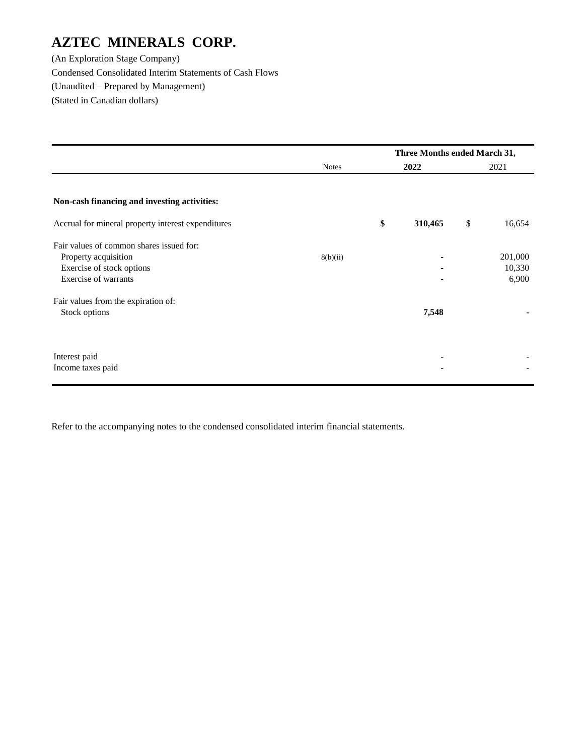(An Exploration Stage Company) Condensed Consolidated Interim Statements of Cash Flows (Unaudited – Prepared by Management) (Stated in Canadian dollars)

|                                                    |              |      | Three Months ended March 31, |      |         |
|----------------------------------------------------|--------------|------|------------------------------|------|---------|
|                                                    | <b>Notes</b> | 2022 |                              | 2021 |         |
|                                                    |              |      |                              |      |         |
| Non-cash financing and investing activities:       |              |      |                              |      |         |
| Accrual for mineral property interest expenditures |              | \$   | 310,465                      | \$   | 16,654  |
| Fair values of common shares issued for:           |              |      |                              |      |         |
| Property acquisition                               | 8(b)(ii)     |      |                              |      | 201,000 |
| Exercise of stock options                          |              |      |                              |      | 10,330  |
| Exercise of warrants                               |              |      |                              |      | 6,900   |
| Fair values from the expiration of:                |              |      |                              |      |         |
| Stock options                                      |              |      | 7,548                        |      |         |
|                                                    |              |      |                              |      |         |
| Interest paid                                      |              |      | ٠                            |      |         |
| Income taxes paid                                  |              |      | ۰                            |      |         |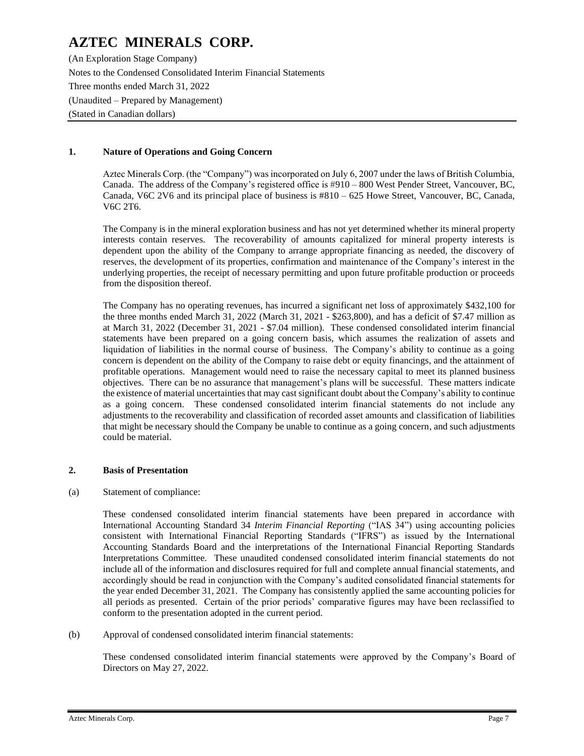(An Exploration Stage Company) Notes to the Condensed Consolidated Interim Financial Statements Three months ended March 31, 2022 (Unaudited – Prepared by Management) (Stated in Canadian dollars)

### **1. Nature of Operations and Going Concern**

Aztec Minerals Corp. (the "Company") was incorporated on July 6, 2007 under the laws of British Columbia, Canada. The address of the Company's registered office is #910 – 800 West Pender Street, Vancouver, BC, Canada, V6C 2V6 and its principal place of business is  $\#810 - 625$  Howe Street, Vancouver, BC, Canada, V6C 2T6.

The Company is in the mineral exploration business and has not yet determined whether its mineral property interests contain reserves. The recoverability of amounts capitalized for mineral property interests is dependent upon the ability of the Company to arrange appropriate financing as needed, the discovery of reserves, the development of its properties, confirmation and maintenance of the Company's interest in the underlying properties, the receipt of necessary permitting and upon future profitable production or proceeds from the disposition thereof.

The Company has no operating revenues, has incurred a significant net loss of approximately \$432,100 for the three months ended March 31, 2022 (March 31, 2021 - \$263,800), and has a deficit of \$7.47 million as at March 31, 2022 (December 31, 2021 - \$7.04 million). These condensed consolidated interim financial statements have been prepared on a going concern basis, which assumes the realization of assets and liquidation of liabilities in the normal course of business. The Company's ability to continue as a going concern is dependent on the ability of the Company to raise debt or equity financings, and the attainment of profitable operations. Management would need to raise the necessary capital to meet its planned business objectives. There can be no assurance that management's plans will be successful. These matters indicate the existence of material uncertainties that may cast significant doubt about the Company's ability to continue as a going concern. These condensed consolidated interim financial statements do not include any adjustments to the recoverability and classification of recorded asset amounts and classification of liabilities that might be necessary should the Company be unable to continue as a going concern, and such adjustments could be material.

### **2. Basis of Presentation**

(a) Statement of compliance:

These condensed consolidated interim financial statements have been prepared in accordance with International Accounting Standard 34 *Interim Financial Reporting* ("IAS 34") using accounting policies consistent with International Financial Reporting Standards ("IFRS") as issued by the International Accounting Standards Board and the interpretations of the International Financial Reporting Standards Interpretations Committee. These unaudited condensed consolidated interim financial statements do not include all of the information and disclosures required for full and complete annual financial statements, and accordingly should be read in conjunction with the Company's audited consolidated financial statements for the year ended December 31, 2021. The Company has consistently applied the same accounting policies for all periods as presented. Certain of the prior periods' comparative figures may have been reclassified to conform to the presentation adopted in the current period.

(b) Approval of condensed consolidated interim financial statements:

These condensed consolidated interim financial statements were approved by the Company's Board of Directors on May 27, 2022.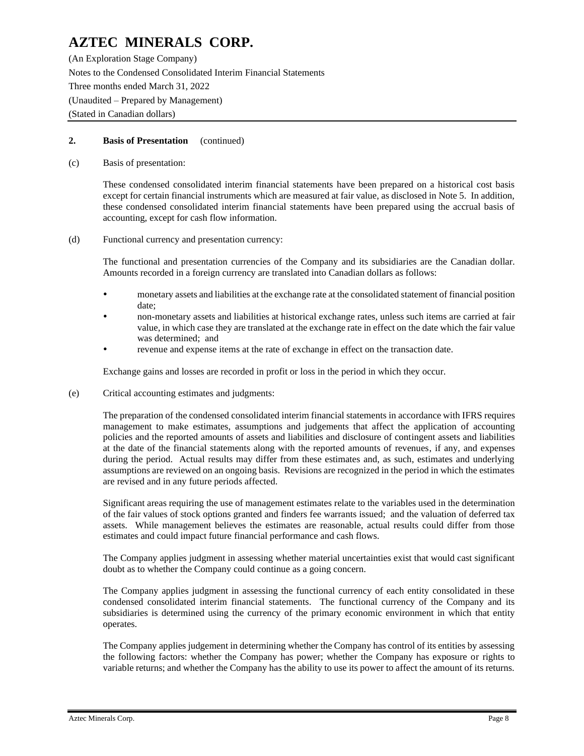(An Exploration Stage Company) Notes to the Condensed Consolidated Interim Financial Statements Three months ended March 31, 2022 (Unaudited – Prepared by Management) (Stated in Canadian dollars)

### **2. Basis of Presentation** (continued)

(c) Basis of presentation:

These condensed consolidated interim financial statements have been prepared on a historical cost basis except for certain financial instruments which are measured at fair value, as disclosed in Note 5. In addition, these condensed consolidated interim financial statements have been prepared using the accrual basis of accounting, except for cash flow information.

(d) Functional currency and presentation currency:

The functional and presentation currencies of the Company and its subsidiaries are the Canadian dollar. Amounts recorded in a foreign currency are translated into Canadian dollars as follows:

- monetary assets and liabilities at the exchange rate at the consolidated statement of financial position date;
- non-monetary assets and liabilities at historical exchange rates, unless such items are carried at fair value, in which case they are translated at the exchange rate in effect on the date which the fair value was determined; and
- revenue and expense items at the rate of exchange in effect on the transaction date.

Exchange gains and losses are recorded in profit or loss in the period in which they occur.

(e) Critical accounting estimates and judgments:

The preparation of the condensed consolidated interim financial statements in accordance with IFRS requires management to make estimates, assumptions and judgements that affect the application of accounting policies and the reported amounts of assets and liabilities and disclosure of contingent assets and liabilities at the date of the financial statements along with the reported amounts of revenues, if any, and expenses during the period. Actual results may differ from these estimates and, as such, estimates and underlying assumptions are reviewed on an ongoing basis. Revisions are recognized in the period in which the estimates are revised and in any future periods affected.

Significant areas requiring the use of management estimates relate to the variables used in the determination of the fair values of stock options granted and finders fee warrants issued; and the valuation of deferred tax assets. While management believes the estimates are reasonable, actual results could differ from those estimates and could impact future financial performance and cash flows.

The Company applies judgment in assessing whether material uncertainties exist that would cast significant doubt as to whether the Company could continue as a going concern.

The Company applies judgment in assessing the functional currency of each entity consolidated in these condensed consolidated interim financial statements. The functional currency of the Company and its subsidiaries is determined using the currency of the primary economic environment in which that entity operates.

The Company applies judgement in determining whether the Company has control of its entities by assessing the following factors: whether the Company has power; whether the Company has exposure or rights to variable returns; and whether the Company has the ability to use its power to affect the amount of its returns.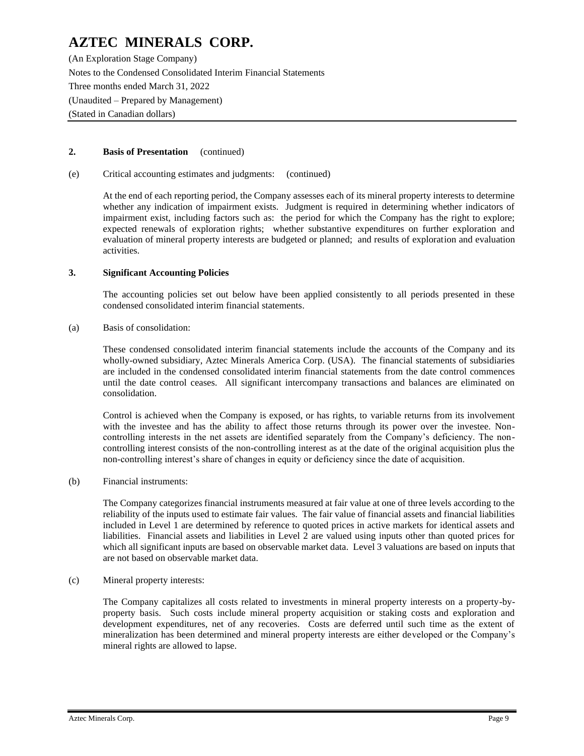(An Exploration Stage Company) Notes to the Condensed Consolidated Interim Financial Statements Three months ended March 31, 2022 (Unaudited – Prepared by Management) (Stated in Canadian dollars)

### **2. Basis of Presentation** (continued)

(e) Critical accounting estimates and judgments: (continued)

At the end of each reporting period, the Company assesses each of its mineral property interests to determine whether any indication of impairment exists. Judgment is required in determining whether indicators of impairment exist, including factors such as: the period for which the Company has the right to explore; expected renewals of exploration rights; whether substantive expenditures on further exploration and evaluation of mineral property interests are budgeted or planned; and results of exploration and evaluation activities.

#### **3. Significant Accounting Policies**

The accounting policies set out below have been applied consistently to all periods presented in these condensed consolidated interim financial statements.

(a) Basis of consolidation:

These condensed consolidated interim financial statements include the accounts of the Company and its wholly-owned subsidiary, Aztec Minerals America Corp. (USA). The financial statements of subsidiaries are included in the condensed consolidated interim financial statements from the date control commences until the date control ceases. All significant intercompany transactions and balances are eliminated on consolidation.

Control is achieved when the Company is exposed, or has rights, to variable returns from its involvement with the investee and has the ability to affect those returns through its power over the investee. Noncontrolling interests in the net assets are identified separately from the Company's deficiency. The noncontrolling interest consists of the non-controlling interest as at the date of the original acquisition plus the non-controlling interest's share of changes in equity or deficiency since the date of acquisition.

#### (b) Financial instruments:

The Company categorizes financial instruments measured at fair value at one of three levels according to the reliability of the inputs used to estimate fair values. The fair value of financial assets and financial liabilities included in Level 1 are determined by reference to quoted prices in active markets for identical assets and liabilities. Financial assets and liabilities in Level 2 are valued using inputs other than quoted prices for which all significant inputs are based on observable market data. Level 3 valuations are based on inputs that are not based on observable market data.

#### (c) Mineral property interests:

The Company capitalizes all costs related to investments in mineral property interests on a property-byproperty basis. Such costs include mineral property acquisition or staking costs and exploration and development expenditures, net of any recoveries. Costs are deferred until such time as the extent of mineralization has been determined and mineral property interests are either developed or the Company's mineral rights are allowed to lapse.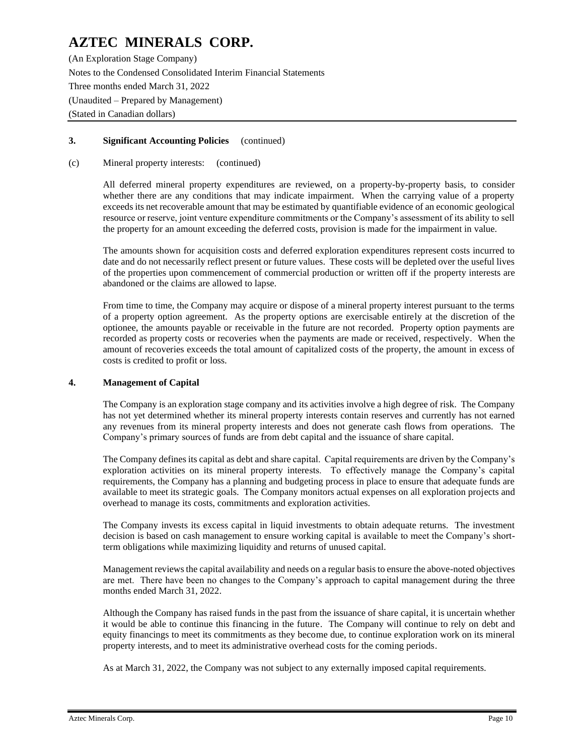(An Exploration Stage Company) Notes to the Condensed Consolidated Interim Financial Statements Three months ended March 31, 2022 (Unaudited – Prepared by Management) (Stated in Canadian dollars)

### **3. Significant Accounting Policies** (continued)

#### (c) Mineral property interests: (continued)

All deferred mineral property expenditures are reviewed, on a property-by-property basis, to consider whether there are any conditions that may indicate impairment. When the carrying value of a property exceeds its net recoverable amount that may be estimated by quantifiable evidence of an economic geological resource or reserve, joint venture expenditure commitments or the Company's assessment of its ability to sell the property for an amount exceeding the deferred costs, provision is made for the impairment in value.

The amounts shown for acquisition costs and deferred exploration expenditures represent costs incurred to date and do not necessarily reflect present or future values. These costs will be depleted over the useful lives of the properties upon commencement of commercial production or written off if the property interests are abandoned or the claims are allowed to lapse.

From time to time, the Company may acquire or dispose of a mineral property interest pursuant to the terms of a property option agreement. As the property options are exercisable entirely at the discretion of the optionee, the amounts payable or receivable in the future are not recorded. Property option payments are recorded as property costs or recoveries when the payments are made or received, respectively. When the amount of recoveries exceeds the total amount of capitalized costs of the property, the amount in excess of costs is credited to profit or loss.

### **4. Management of Capital**

The Company is an exploration stage company and its activities involve a high degree of risk. The Company has not yet determined whether its mineral property interests contain reserves and currently has not earned any revenues from its mineral property interests and does not generate cash flows from operations. The Company's primary sources of funds are from debt capital and the issuance of share capital.

The Company defines its capital as debt and share capital. Capital requirements are driven by the Company's exploration activities on its mineral property interests. To effectively manage the Company's capital requirements, the Company has a planning and budgeting process in place to ensure that adequate funds are available to meet its strategic goals. The Company monitors actual expenses on all exploration projects and overhead to manage its costs, commitments and exploration activities.

The Company invests its excess capital in liquid investments to obtain adequate returns. The investment decision is based on cash management to ensure working capital is available to meet the Company's shortterm obligations while maximizing liquidity and returns of unused capital.

Management reviews the capital availability and needs on a regular basis to ensure the above-noted objectives are met. There have been no changes to the Company's approach to capital management during the three months ended March 31, 2022.

Although the Company has raised funds in the past from the issuance of share capital, it is uncertain whether it would be able to continue this financing in the future. The Company will continue to rely on debt and equity financings to meet its commitments as they become due, to continue exploration work on its mineral property interests, and to meet its administrative overhead costs for the coming periods.

As at March 31, 2022, the Company was not subject to any externally imposed capital requirements.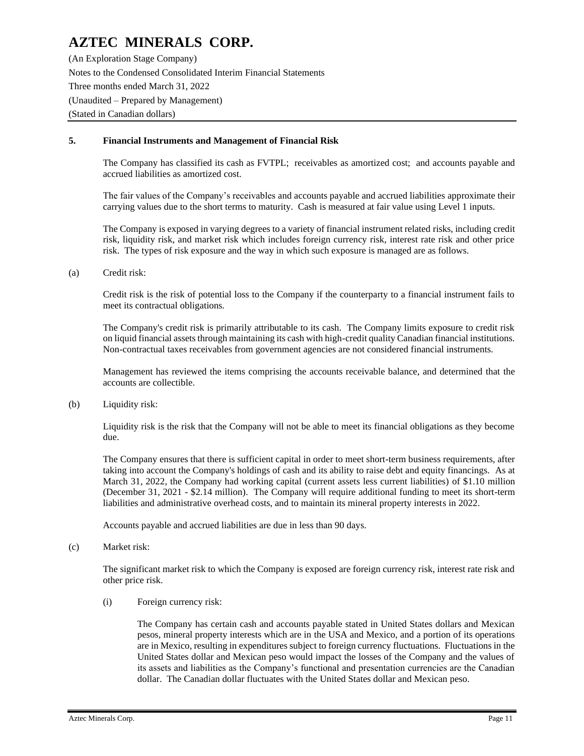(An Exploration Stage Company) Notes to the Condensed Consolidated Interim Financial Statements Three months ended March 31, 2022 (Unaudited – Prepared by Management) (Stated in Canadian dollars)

### **5. Financial Instruments and Management of Financial Risk**

The Company has classified its cash as FVTPL; receivables as amortized cost; and accounts payable and accrued liabilities as amortized cost.

The fair values of the Company's receivables and accounts payable and accrued liabilities approximate their carrying values due to the short terms to maturity. Cash is measured at fair value using Level 1 inputs.

The Company is exposed in varying degrees to a variety of financial instrument related risks, including credit risk, liquidity risk, and market risk which includes foreign currency risk, interest rate risk and other price risk. The types of risk exposure and the way in which such exposure is managed are as follows.

(a) Credit risk:

Credit risk is the risk of potential loss to the Company if the counterparty to a financial instrument fails to meet its contractual obligations.

The Company's credit risk is primarily attributable to its cash. The Company limits exposure to credit risk on liquid financial assets through maintaining its cash with high-credit quality Canadian financial institutions. Non-contractual taxes receivables from government agencies are not considered financial instruments.

Management has reviewed the items comprising the accounts receivable balance, and determined that the accounts are collectible.

(b) Liquidity risk:

Liquidity risk is the risk that the Company will not be able to meet its financial obligations as they become due.

The Company ensures that there is sufficient capital in order to meet short-term business requirements, after taking into account the Company's holdings of cash and its ability to raise debt and equity financings. As at March 31, 2022, the Company had working capital (current assets less current liabilities) of \$1.10 million (December 31, 2021 - \$2.14 million). The Company will require additional funding to meet its short-term liabilities and administrative overhead costs, and to maintain its mineral property interests in 2022.

Accounts payable and accrued liabilities are due in less than 90 days.

(c) Market risk:

The significant market risk to which the Company is exposed are foreign currency risk, interest rate risk and other price risk.

(i) Foreign currency risk:

The Company has certain cash and accounts payable stated in United States dollars and Mexican pesos, mineral property interests which are in the USA and Mexico, and a portion of its operations are in Mexico, resulting in expenditures subject to foreign currency fluctuations. Fluctuations in the United States dollar and Mexican peso would impact the losses of the Company and the values of its assets and liabilities as the Company's functional and presentation currencies are the Canadian dollar. The Canadian dollar fluctuates with the United States dollar and Mexican peso.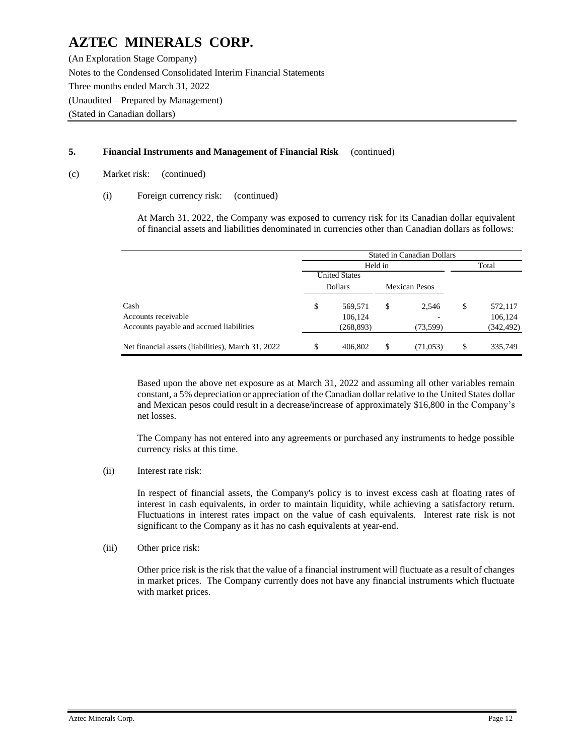(An Exploration Stage Company) Notes to the Condensed Consolidated Interim Financial Statements Three months ended March 31, 2022 (Unaudited – Prepared by Management) (Stated in Canadian dollars)

## **5. Financial Instruments and Management of Financial Risk** (continued)

- (c) Market risk: (continued)
	- (i) Foreign currency risk: (continued)

At March 31, 2022, the Company was exposed to currency risk for its Canadian dollar equivalent of financial assets and liabilities denominated in currencies other than Canadian dollars as follows:

|                                                    | <b>Stated in Canadian Dollars</b> |                |    |                      |    |           |  |  |
|----------------------------------------------------|-----------------------------------|----------------|----|----------------------|----|-----------|--|--|
|                                                    |                                   | Held in        |    |                      |    | Total     |  |  |
|                                                    | <b>United States</b>              |                |    |                      |    |           |  |  |
|                                                    |                                   | <b>Dollars</b> |    | <b>Mexican Pesos</b> |    |           |  |  |
| Cash                                               | \$                                | 569,571        | S  | 2,546                | \$ | 572,117   |  |  |
| Accounts receivable                                |                                   | 106,124        |    |                      |    | 106,124   |  |  |
| Accounts payable and accrued liabilities           |                                   | (268, 893)     |    | (73, 599)            |    | (342,492) |  |  |
| Net financial assets (liabilities), March 31, 2022 | \$                                | 406.802        | \$ | (71,053)             | \$ | 335,749   |  |  |

Based upon the above net exposure as at March 31, 2022 and assuming all other variables remain constant, a 5% depreciation or appreciation of the Canadian dollar relative to the United States dollar and Mexican pesos could result in a decrease/increase of approximately \$16,800 in the Company's net losses.

The Company has not entered into any agreements or purchased any instruments to hedge possible currency risks at this time.

(ii) Interest rate risk:

In respect of financial assets, the Company's policy is to invest excess cash at floating rates of interest in cash equivalents, in order to maintain liquidity, while achieving a satisfactory return. Fluctuations in interest rates impact on the value of cash equivalents. Interest rate risk is not significant to the Company as it has no cash equivalents at year-end.

(iii) Other price risk:

Other price risk is the risk that the value of a financial instrument will fluctuate as a result of changes in market prices. The Company currently does not have any financial instruments which fluctuate with market prices.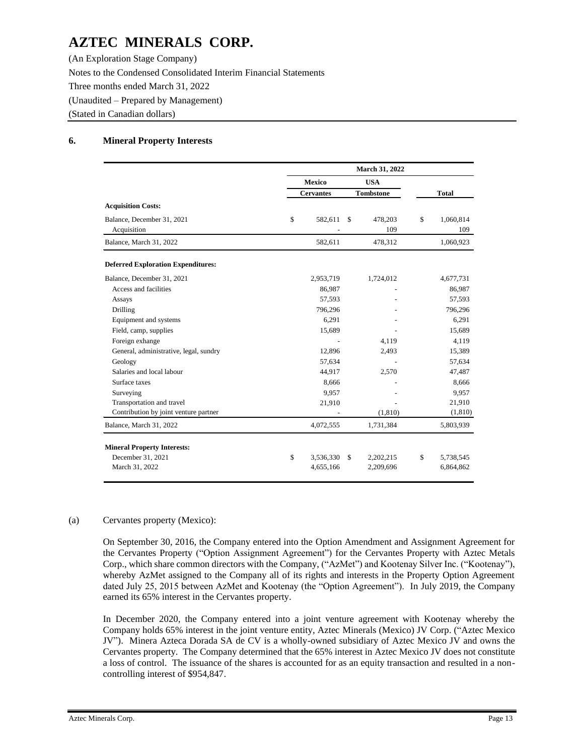(An Exploration Stage Company) Notes to the Condensed Consolidated Interim Financial Statements Three months ended March 31, 2022 (Unaudited – Prepared by Management) (Stated in Canadian dollars)

## **6. Mineral Property Interests**

|                                           | March 31, 2022 |                  |    |                  |    |                  |
|-------------------------------------------|----------------|------------------|----|------------------|----|------------------|
|                                           |                | Mexico           |    | <b>USA</b>       |    |                  |
|                                           |                | <b>Cervantes</b> |    | <b>Tombstone</b> |    | <b>Total</b>     |
| <b>Acquisition Costs:</b>                 |                |                  |    |                  |    |                  |
| Balance, December 31, 2021<br>Acquisition | \$             | 582,611          | \$ | 478,203<br>109   | \$ | 1,060,814<br>109 |
| Balance, March 31, 2022                   |                | 582,611          |    | 478,312          |    | 1,060,923        |
| <b>Deferred Exploration Expenditures:</b> |                |                  |    |                  |    |                  |
| Balance, December 31, 2021                |                | 2,953,719        |    | 1,724,012        |    | 4,677,731        |
| Access and facilities                     |                | 86,987           |    |                  |    | 86,987           |
| Assays                                    |                | 57,593           |    |                  |    | 57,593           |
| Drilling                                  |                | 796,296          |    |                  |    | 796,296          |
| Equipment and systems                     |                | 6,291            |    |                  |    | 6,291            |
| Field, camp, supplies                     |                | 15,689           |    |                  |    | 15,689           |
| Foreign exhange                           |                |                  |    | 4,119            |    | 4,119            |
| General, administrative, legal, sundry    |                | 12,896           |    | 2,493            |    | 15,389           |
| Geology                                   |                | 57,634           |    |                  |    | 57,634           |
| Salaries and local labour                 |                | 44,917           |    | 2,570            |    | 47,487           |
| Surface taxes                             |                | 8,666            |    |                  |    | 8,666            |
| Surveying                                 |                | 9,957            |    |                  |    | 9,957            |
| Transportation and travel                 |                | 21,910           |    |                  |    | 21,910           |
| Contribution by joint venture partner     |                |                  |    | (1, 810)         |    | (1, 810)         |
| Balance, March 31, 2022                   |                | 4,072,555        |    | 1,731,384        |    | 5,803,939        |
| <b>Mineral Property Interests:</b>        |                |                  |    |                  |    |                  |
| December 31, 2021                         | \$             | 3,536,330        | \$ | 2,202,215        | \$ | 5,738,545        |
| March 31, 2022                            |                | 4,655,166        |    | 2,209,696        |    | 6,864,862        |

### (a) Cervantes property (Mexico):

On September 30, 2016, the Company entered into the Option Amendment and Assignment Agreement for the Cervantes Property ("Option Assignment Agreement") for the Cervantes Property with Aztec Metals Corp., which share common directors with the Company, ("AzMet") and Kootenay Silver Inc. ("Kootenay"), whereby AzMet assigned to the Company all of its rights and interests in the Property Option Agreement dated July 25, 2015 between AzMet and Kootenay (the "Option Agreement"). In July 2019, the Company earned its 65% interest in the Cervantes property.

In December 2020, the Company entered into a joint venture agreement with Kootenay whereby the Company holds 65% interest in the joint venture entity, Aztec Minerals (Mexico) JV Corp. ("Aztec Mexico JV"). Minera Azteca Dorada SA de CV is a wholly-owned subsidiary of Aztec Mexico JV and owns the Cervantes property. The Company determined that the 65% interest in Aztec Mexico JV does not constitute a loss of control. The issuance of the shares is accounted for as an equity transaction and resulted in a noncontrolling interest of \$954,847.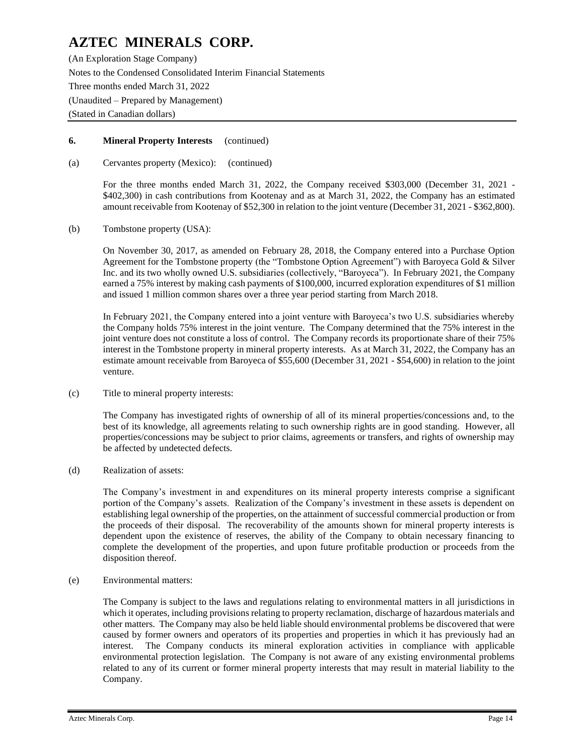(An Exploration Stage Company) Notes to the Condensed Consolidated Interim Financial Statements Three months ended March 31, 2022 (Unaudited – Prepared by Management) (Stated in Canadian dollars)

### **6. Mineral Property Interests** (continued)

(a) Cervantes property (Mexico): (continued)

For the three months ended March 31, 2022, the Company received \$303,000 (December 31, 2021 - \$402,300) in cash contributions from Kootenay and as at March 31, 2022, the Company has an estimated amount receivable from Kootenay of \$52,300 in relation to the joint venture (December 31, 2021 - \$362,800).

(b) Tombstone property (USA):

On November 30, 2017, as amended on February 28, 2018, the Company entered into a Purchase Option Agreement for the Tombstone property (the "Tombstone Option Agreement") with Baroyeca Gold & Silver Inc. and its two wholly owned U.S. subsidiaries (collectively, "Baroyeca"). In February 2021, the Company earned a 75% interest by making cash payments of \$100,000, incurred exploration expenditures of \$1 million and issued 1 million common shares over a three year period starting from March 2018.

In February 2021, the Company entered into a joint venture with Baroyeca's two U.S. subsidiaries whereby the Company holds 75% interest in the joint venture. The Company determined that the 75% interest in the joint venture does not constitute a loss of control. The Company records its proportionate share of their 75% interest in the Tombstone property in mineral property interests. As at March 31, 2022, the Company has an estimate amount receivable from Baroyeca of \$55,600 (December 31, 2021 - \$54,600) in relation to the joint venture.

(c) Title to mineral property interests:

The Company has investigated rights of ownership of all of its mineral properties/concessions and, to the best of its knowledge, all agreements relating to such ownership rights are in good standing. However, all properties/concessions may be subject to prior claims, agreements or transfers, and rights of ownership may be affected by undetected defects.

(d) Realization of assets:

The Company's investment in and expenditures on its mineral property interests comprise a significant portion of the Company's assets. Realization of the Company's investment in these assets is dependent on establishing legal ownership of the properties, on the attainment of successful commercial production or from the proceeds of their disposal. The recoverability of the amounts shown for mineral property interests is dependent upon the existence of reserves, the ability of the Company to obtain necessary financing to complete the development of the properties, and upon future profitable production or proceeds from the disposition thereof.

(e) Environmental matters:

The Company is subject to the laws and regulations relating to environmental matters in all jurisdictions in which it operates, including provisions relating to property reclamation, discharge of hazardous materials and other matters. The Company may also be held liable should environmental problems be discovered that were caused by former owners and operators of its properties and properties in which it has previously had an interest. The Company conducts its mineral exploration activities in compliance with applicable environmental protection legislation. The Company is not aware of any existing environmental problems related to any of its current or former mineral property interests that may result in material liability to the Company.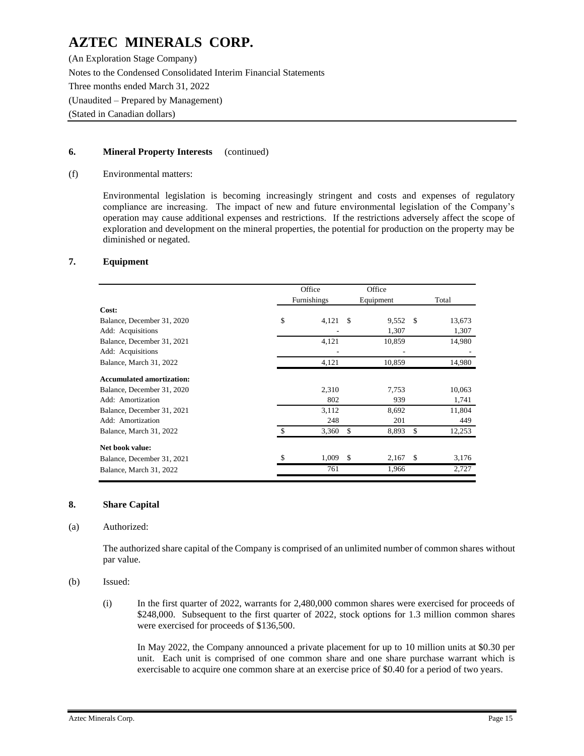(An Exploration Stage Company) Notes to the Condensed Consolidated Interim Financial Statements Three months ended March 31, 2022 (Unaudited – Prepared by Management) (Stated in Canadian dollars)

### **6. Mineral Property Interests** (continued)

#### (f) Environmental matters:

Environmental legislation is becoming increasingly stringent and costs and expenses of regulatory compliance are increasing. The impact of new and future environmental legislation of the Company's operation may cause additional expenses and restrictions. If the restrictions adversely affect the scope of exploration and development on the mineral properties, the potential for production on the property may be diminished or negated.

#### **7. Equipment**

|                                  | Office      | Office                 |               |
|----------------------------------|-------------|------------------------|---------------|
|                                  | Furnishings | Equipment              | Total         |
| Cost:                            |             |                        |               |
| Balance, December 31, 2020       | \$<br>4,121 | 9,552<br>-S            | 13,673<br>-\$ |
| Add: Acquisitions                |             | 1,307                  | 1,307         |
| Balance, December 31, 2021       | 4,121       | 10,859                 | 14,980        |
| Add: Acquisitions                |             | ٠                      |               |
| Balance, March 31, 2022          | 4,121       | 10,859                 | 14,980        |
| <b>Accumulated amortization:</b> |             |                        |               |
| Balance, December 31, 2020       | 2,310       | 7,753                  | 10,063        |
| Add: Amortization                | 802         | 939                    | 1,741         |
| Balance, December 31, 2021       | 3.112       | 8,692                  | 11,804        |
| Add: Amortization                | 248         | 201                    | 449           |
| Balance, March 31, 2022          | \$<br>3,360 | \$<br>8,893            | \$<br>12,253  |
| Net book value:                  |             |                        |               |
| Balance, December 31, 2021       | \$<br>1,009 | <sup>\$</sup><br>2,167 | \$<br>3,176   |
| Balance, March 31, 2022          | 761         | 1,966                  | 2,727         |

#### **8. Share Capital**

#### (a) Authorized:

The authorized share capital of the Company is comprised of an unlimited number of common shares without par value.

#### (b) Issued:

(i) In the first quarter of 2022, warrants for 2,480,000 common shares were exercised for proceeds of \$248,000. Subsequent to the first quarter of 2022, stock options for 1.3 million common shares were exercised for proceeds of \$136,500.

In May 2022, the Company announced a private placement for up to 10 million units at \$0.30 per unit. Each unit is comprised of one common share and one share purchase warrant which is exercisable to acquire one common share at an exercise price of \$0.40 for a period of two years.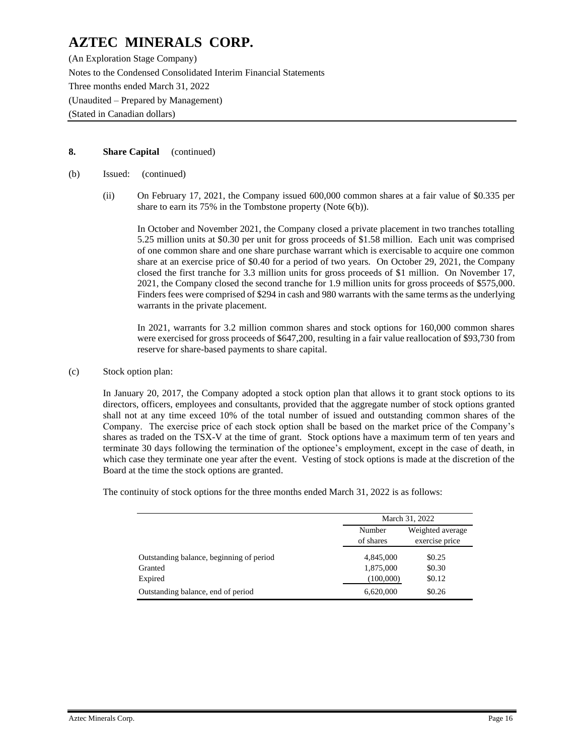(An Exploration Stage Company) Notes to the Condensed Consolidated Interim Financial Statements Three months ended March 31, 2022 (Unaudited – Prepared by Management) (Stated in Canadian dollars)

## **8. Share Capital** (continued)

- (b) Issued: (continued)
	- (ii) On February 17, 2021, the Company issued 600,000 common shares at a fair value of \$0.335 per share to earn its 75% in the Tombstone property (Note 6(b)).

In October and November 2021, the Company closed a private placement in two tranches totalling 5.25 million units at \$0.30 per unit for gross proceeds of \$1.58 million. Each unit was comprised of one common share and one share purchase warrant which is exercisable to acquire one common share at an exercise price of \$0.40 for a period of two years. On October 29, 2021, the Company closed the first tranche for 3.3 million units for gross proceeds of \$1 million. On November 17, 2021, the Company closed the second tranche for 1.9 million units for gross proceeds of \$575,000. Finders fees were comprised of \$294 in cash and 980 warrants with the same terms as the underlying warrants in the private placement.

In 2021, warrants for 3.2 million common shares and stock options for 160,000 common shares were exercised for gross proceeds of \$647,200, resulting in a fair value reallocation of \$93,730 from reserve for share-based payments to share capital.

(c) Stock option plan:

In January 20, 2017, the Company adopted a stock option plan that allows it to grant stock options to its directors, officers, employees and consultants, provided that the aggregate number of stock options granted shall not at any time exceed 10% of the total number of issued and outstanding common shares of the Company. The exercise price of each stock option shall be based on the market price of the Company's shares as traded on the TSX-V at the time of grant. Stock options have a maximum term of ten years and terminate 30 days following the termination of the optionee's employment, except in the case of death, in which case they terminate one year after the event. Vesting of stock options is made at the discretion of the Board at the time the stock options are granted.

The continuity of stock options for the three months ended March 31, 2022 is as follows:

|                                          | March 31, 2022      |                                    |  |  |  |
|------------------------------------------|---------------------|------------------------------------|--|--|--|
|                                          | Number<br>of shares | Weighted average<br>exercise price |  |  |  |
| Outstanding balance, beginning of period | 4,845,000           | \$0.25                             |  |  |  |
| Granted                                  | 1,875,000           | \$0.30                             |  |  |  |
| Expired                                  | (100,000)           | \$0.12                             |  |  |  |
| Outstanding balance, end of period       | 6,620,000           | \$0.26                             |  |  |  |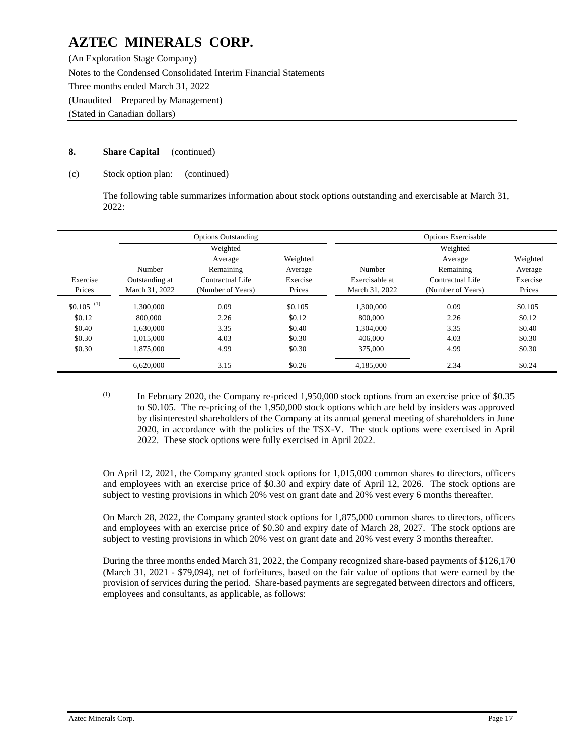(An Exploration Stage Company) Notes to the Condensed Consolidated Interim Financial Statements Three months ended March 31, 2022 (Unaudited – Prepared by Management) (Stated in Canadian dollars)

## **8. Share Capital** (continued)

### (c) Stock option plan: (continued)

The following table summarizes information about stock options outstanding and exercisable at March 31, 2022:

|                         |                | <b>Options Outstanding</b> |          | <b>Options Exercisable</b> |                   |          |
|-------------------------|----------------|----------------------------|----------|----------------------------|-------------------|----------|
|                         |                | Weighted                   |          |                            | Weighted          |          |
|                         |                | Average                    | Weighted |                            | Average           | Weighted |
|                         | Number         | Remaining                  | Average  | Number                     | Remaining         | Average  |
| Exercise                | Outstanding at | Contractual Life           | Exercise | Exercisable at             | Contractual Life  | Exercise |
| Prices                  | March 31, 2022 | (Number of Years)          | Prices   | March 31, 2022             | (Number of Years) | Prices   |
| $$0.105$ <sup>(1)</sup> | 1.300.000      | 0.09                       | \$0.105  | 1.300.000                  | 0.09              | \$0.105  |
| \$0.12                  | 800,000        | 2.26                       | \$0.12   | 800,000                    | 2.26              | \$0.12   |
| \$0.40                  | 1.630.000      | 3.35                       | \$0.40   | 1.304.000                  | 3.35              | \$0.40   |
| \$0.30                  | 1.015.000      | 4.03                       | \$0.30   | 406,000                    | 4.03              | \$0.30   |
| \$0.30                  | 1,875,000      | 4.99                       | \$0.30   | 375,000                    | 4.99              | \$0.30   |
|                         | 6.620.000      | 3.15                       | \$0.26   | 4.185.000                  | 2.34              | \$0.24   |

(1) In February 2020, the Company re-priced 1,950,000 stock options from an exercise price of \$0.35 to \$0.105. The re-pricing of the 1,950,000 stock options which are held by insiders was approved by disinterested shareholders of the Company at its annual general meeting of shareholders in June 2020, in accordance with the policies of the TSX-V. The stock options were exercised in April 2022. These stock options were fully exercised in April 2022.

On April 12, 2021, the Company granted stock options for 1,015,000 common shares to directors, officers and employees with an exercise price of \$0.30 and expiry date of April 12, 2026. The stock options are subject to vesting provisions in which 20% vest on grant date and 20% vest every 6 months thereafter.

On March 28, 2022, the Company granted stock options for 1,875,000 common shares to directors, officers and employees with an exercise price of \$0.30 and expiry date of March 28, 2027. The stock options are subject to vesting provisions in which 20% vest on grant date and 20% vest every 3 months thereafter.

During the three months ended March 31, 2022, the Company recognized share-based payments of \$126,170 (March 31, 2021 - \$79,094), net of forfeitures, based on the fair value of options that were earned by the provision of services during the period. Share-based payments are segregated between directors and officers, employees and consultants, as applicable, as follows: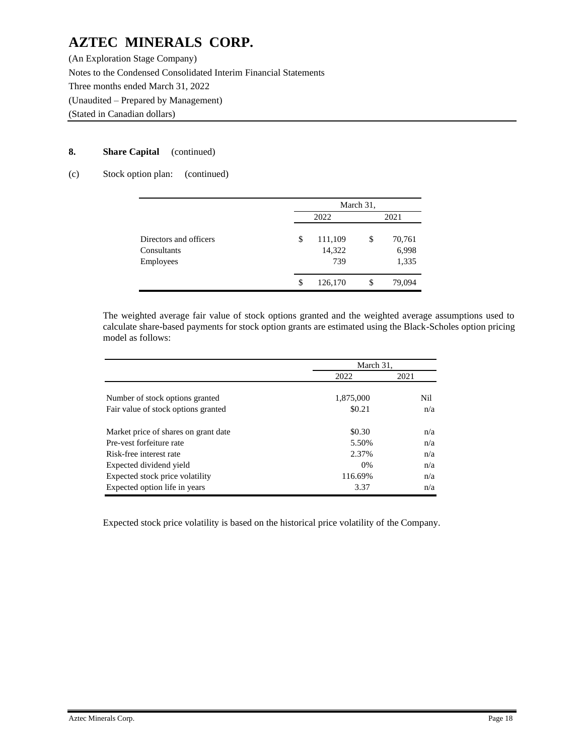(An Exploration Stage Company) Notes to the Condensed Consolidated Interim Financial Statements Three months ended March 31, 2022 (Unaudited – Prepared by Management) (Stated in Canadian dollars)

## **8. Share Capital** (continued)

## (c) Stock option plan: (continued)

|                                       |    | March 31,         |    |                 |  |      |  |
|---------------------------------------|----|-------------------|----|-----------------|--|------|--|
|                                       |    | 2022              |    |                 |  | 2021 |  |
| Directors and officers<br>Consultants | \$ | 111,109<br>14,322 | \$ | 70,761<br>6,998 |  |      |  |
| Employees                             |    | 739               |    | 1,335           |  |      |  |
|                                       | \$ | 126,170           | S  | 79,094          |  |      |  |

The weighted average fair value of stock options granted and the weighted average assumptions used to calculate share-based payments for stock option grants are estimated using the Black-Scholes option pricing model as follows:

|                                      | March 31, |      |
|--------------------------------------|-----------|------|
|                                      | 2022      | 2021 |
|                                      |           |      |
| Number of stock options granted      | 1,875,000 | Nil  |
| Fair value of stock options granted  | \$0.21    | n/a  |
| Market price of shares on grant date | \$0.30    | n/a  |
| Pre-vest forfeiture rate             | 5.50%     | n/a  |
| Risk-free interest rate              | 2.37%     | n/a  |
| Expected dividend yield              | $0\%$     | n/a  |
| Expected stock price volatility      | 116.69%   | n/a  |
| Expected option life in years        | 3.37      | n/a  |

Expected stock price volatility is based on the historical price volatility of the Company.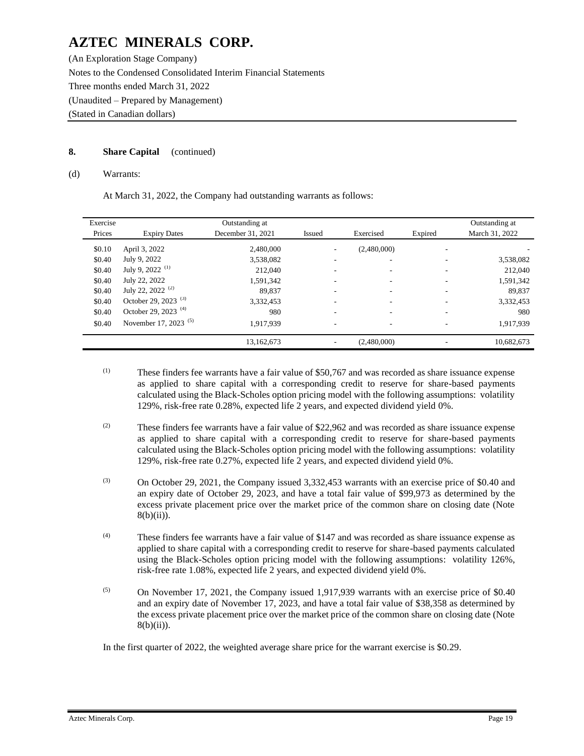(An Exploration Stage Company) Notes to the Condensed Consolidated Interim Financial Statements Three months ended March 31, 2022 (Unaudited – Prepared by Management) (Stated in Canadian dollars)

## **8. Share Capital** (continued)

#### (d) Warrants:

At March 31, 2022, the Company had outstanding warrants as follows:

| Exercise<br>Prices | <b>Expiry Dates</b>              | Outstanding at<br>December 31, 2021 | <b>Issued</b> | Exercised   | Expired | Outstanding at<br>March 31, 2022 |
|--------------------|----------------------------------|-------------------------------------|---------------|-------------|---------|----------------------------------|
| \$0.10             | April 3, 2022                    | 2,480,000                           | ۰             | (2,480,000) | ۰       |                                  |
| \$0.40             | July 9, 2022                     | 3,538,082                           |               | ۰           |         | 3,538,082                        |
| \$0.40             | July 9, 2022 <sup>(1)</sup>      | 212,040                             |               | ۰           | ۰       | 212,040                          |
| \$0.40             | July 22, 2022                    | 1,591,342                           |               | ۰           | ۰       | 1,591,342                        |
| \$0.40             | July 22, 2022 <sup>(2)</sup>     | 89.837                              | ۰             | ۰           | ۰       | 89,837                           |
| \$0.40             | October 29, 2023 <sup>(3)</sup>  | 3,332,453                           |               |             |         | 3,332,453                        |
| \$0.40             | October 29, 2023 <sup>(4)</sup>  | 980                                 | ۰             |             | ۰       | 980                              |
| \$0.40             | November 17, 2023 <sup>(5)</sup> | 1,917,939                           | ۰             | ۰           | ۰       | 1,917,939                        |
|                    |                                  | 13,162,673                          |               | (2,480,000) |         | 10,682,673                       |

- (1) These finders fee warrants have a fair value of \$50,767 and was recorded as share issuance expense as applied to share capital with a corresponding credit to reserve for share-based payments calculated using the Black-Scholes option pricing model with the following assumptions: volatility 129%, risk-free rate 0.28%, expected life 2 years, and expected dividend yield 0%.
- $(2)$  These finders fee warrants have a fair value of \$22,962 and was recorded as share issuance expense as applied to share capital with a corresponding credit to reserve for share-based payments calculated using the Black-Scholes option pricing model with the following assumptions: volatility 129%, risk-free rate 0.27%, expected life 2 years, and expected dividend yield 0%.
- (3) On October 29, 2021, the Company issued 3,332,453 warrants with an exercise price of \$0.40 and an expiry date of October 29, 2023, and have a total fair value of \$99,973 as determined by the excess private placement price over the market price of the common share on closing date (Note  $8(b)(ii)$ ).
- (4) These finders fee warrants have a fair value of \$147 and was recorded as share issuance expense as applied to share capital with a corresponding credit to reserve for share-based payments calculated using the Black-Scholes option pricing model with the following assumptions: volatility 126%, risk-free rate 1.08%, expected life 2 years, and expected dividend yield 0%.
- $(5)$  On November 17, 2021, the Company issued 1,917,939 warrants with an exercise price of \$0.40 and an expiry date of November 17, 2023, and have a total fair value of \$38,358 as determined by the excess private placement price over the market price of the common share on closing date (Note  $8(b)(ii)$ ).

In the first quarter of 2022, the weighted average share price for the warrant exercise is \$0.29.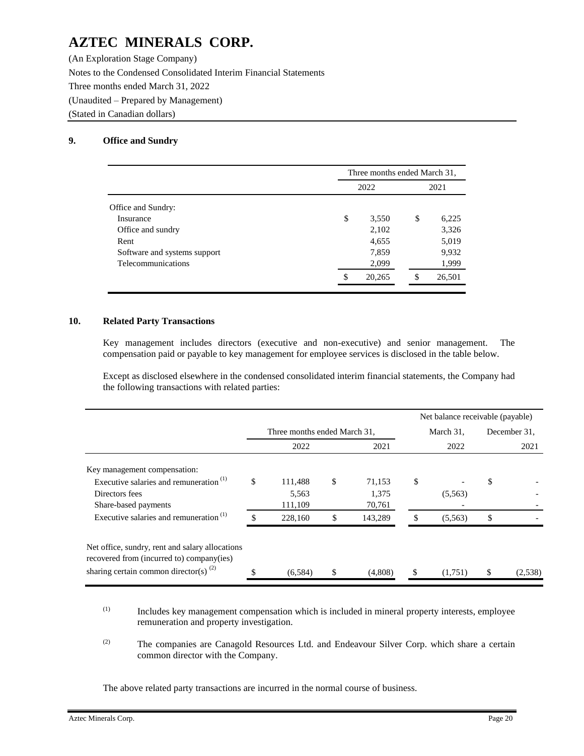(An Exploration Stage Company) Notes to the Condensed Consolidated Interim Financial Statements Three months ended March 31, 2022 (Unaudited – Prepared by Management) (Stated in Canadian dollars)

## **9. Office and Sundry**

|                              | Three months ended March 31, |    |        |  |  |  |  |  |
|------------------------------|------------------------------|----|--------|--|--|--|--|--|
|                              | 2022                         |    |        |  |  |  |  |  |
| Office and Sundry:           |                              |    |        |  |  |  |  |  |
| Insurance                    | \$<br>3,550                  | \$ | 6,225  |  |  |  |  |  |
| Office and sundry            | 2,102                        |    | 3,326  |  |  |  |  |  |
| Rent                         | 4,655                        |    | 5,019  |  |  |  |  |  |
| Software and systems support | 7,859                        |    | 9,932  |  |  |  |  |  |
| Telecommunications           | 2,099                        |    | 1,999  |  |  |  |  |  |
|                              | 20,265                       | S  | 26,501 |  |  |  |  |  |

## **10. Related Party Transactions**

Key management includes directors (executive and non-executive) and senior management. The compensation paid or payable to key management for employee services is disclosed in the table below.

Except as disclosed elsewhere in the condensed consolidated interim financial statements, the Company had the following transactions with related parties:

|                                                                                              |                              |               |               | Net balance receivable (payable) |              |  |  |
|----------------------------------------------------------------------------------------------|------------------------------|---------------|---------------|----------------------------------|--------------|--|--|
|                                                                                              | Three months ended March 31, |               | March 31,     |                                  | December 31. |  |  |
|                                                                                              | 2022                         | 2021          | 2022          |                                  | 2021         |  |  |
| Key management compensation:                                                                 |                              |               |               |                                  |              |  |  |
| Executive salaries and remuneration $(1)$                                                    | \$<br>111,488                | \$<br>71,153  | \$            | \$                               |              |  |  |
| Directors fees                                                                               | 5,563                        | 1,375         | (5,563)       |                                  |              |  |  |
| Share-based payments                                                                         | 111,109                      | 70,761        |               |                                  |              |  |  |
| Executive salaries and remuneration $(1)$                                                    | 228,160                      | \$<br>143,289 | \$<br>(5,563) | \$                               |              |  |  |
| Net office, sundry, rent and salary allocations<br>recovered from (incurred to) company(ies) |                              |               |               |                                  |              |  |  |
| sharing certain common director(s) $^{(2)}$                                                  | (6,584)                      | \$<br>(4,808) | \$<br>(1,751) | \$                               | (2,538)      |  |  |

- (1) Includes key management compensation which is included in mineral property interests, employee remuneration and property investigation.
- (2) The companies are Canagold Resources Ltd. and Endeavour Silver Corp. which share a certain common director with the Company.

The above related party transactions are incurred in the normal course of business.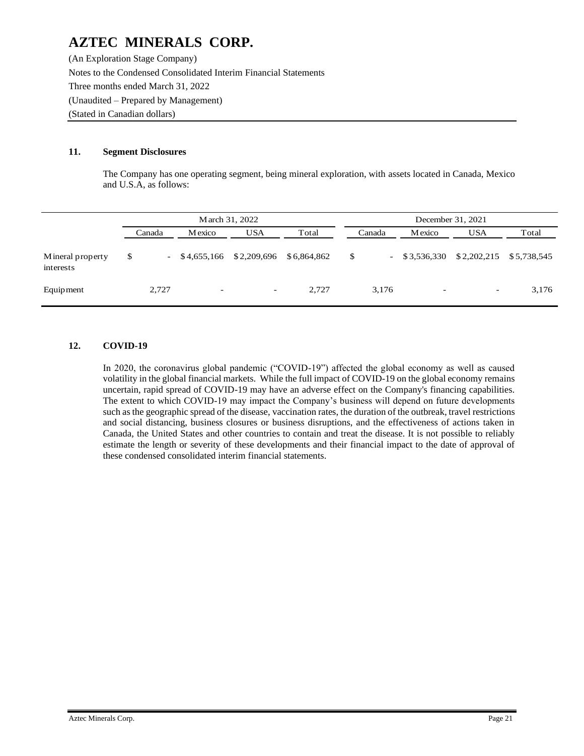(An Exploration Stage Company) Notes to the Condensed Consolidated Interim Financial Statements Three months ended March 31, 2022 (Unaudited – Prepared by Management) (Stated in Canadian dollars)

## **11. Segment Disclosures**

The Company has one operating segment, being mineral exploration, with assets located in Canada, Mexico and U.S.A, as follows:

|                               |        |                                 | March 31, 2022           |             | December 31, 2021 |        |                              |                          |             |  |  |  |  |  |
|-------------------------------|--------|---------------------------------|--------------------------|-------------|-------------------|--------|------------------------------|--------------------------|-------------|--|--|--|--|--|
|                               | Canada | Mexico                          | <b>USA</b>               | Total       |                   | Canada | <b>M</b> exico               | <b>USA</b>               | Total       |  |  |  |  |  |
| Mineral property<br>interests | \$     | \$4,655,166<br>$\sim$ 100 $\mu$ | \$2,209,696              | \$6,864,862 | \$                | $\sim$ | \$3,536,330                  | \$2,202,215              | \$5,738,545 |  |  |  |  |  |
| Equipment                     | 2,727  | $\overline{\phantom{a}}$        | $\overline{\phantom{a}}$ | 2.727       |                   | 3,176  | $\qquad \qquad \blacksquare$ | $\overline{\phantom{a}}$ | 3,176       |  |  |  |  |  |

## **12. COVID-19**

In 2020, the coronavirus global pandemic ("COVID-19") affected the global economy as well as caused volatility in the global financial markets. While the full impact of COVID-19 on the global economy remains uncertain, rapid spread of COVID-19 may have an adverse effect on the Company's financing capabilities. The extent to which COVID-19 may impact the Company's business will depend on future developments such as the geographic spread of the disease, vaccination rates, the duration of the outbreak, travel restrictions and social distancing, business closures or business disruptions, and the effectiveness of actions taken in Canada, the United States and other countries to contain and treat the disease. It is not possible to reliably estimate the length or severity of these developments and their financial impact to the date of approval of these condensed consolidated interim financial statements.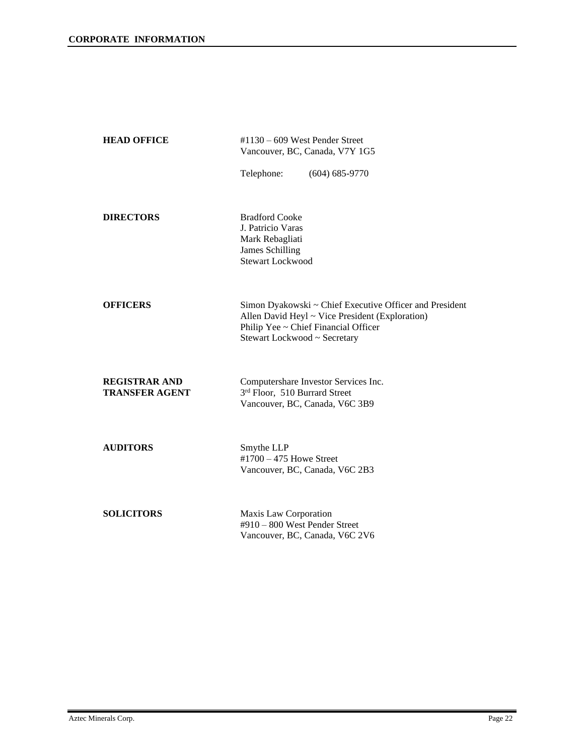| <b>HEAD OFFICE</b>                            | $\text{\#}1130 - 609$ West Pender Street<br>Vancouver, BC, Canada, V7Y 1G5                                                                                                         |  |  |  |  |  |  |  |
|-----------------------------------------------|------------------------------------------------------------------------------------------------------------------------------------------------------------------------------------|--|--|--|--|--|--|--|
|                                               | Telephone:<br>$(604) 685 - 9770$                                                                                                                                                   |  |  |  |  |  |  |  |
| <b>DIRECTORS</b>                              | <b>Bradford Cooke</b><br>J. Patricio Varas<br>Mark Rebagliati<br><b>James Schilling</b><br><b>Stewart Lockwood</b>                                                                 |  |  |  |  |  |  |  |
| <b>OFFICERS</b>                               | Simon Dyakowski ~ Chief Executive Officer and President<br>Allen David Heyl ~ Vice President (Exploration)<br>Philip Yee ~ Chief Financial Officer<br>Stewart Lockwood ~ Secretary |  |  |  |  |  |  |  |
| <b>REGISTRAR AND</b><br><b>TRANSFER AGENT</b> | Computershare Investor Services Inc.<br>3rd Floor, 510 Burrard Street<br>Vancouver, BC, Canada, V6C 3B9                                                                            |  |  |  |  |  |  |  |
| <b>AUDITORS</b>                               | Smythe LLP<br>$\text{\#1700} - 475$ Howe Street<br>Vancouver, BC, Canada, V6C 2B3                                                                                                  |  |  |  |  |  |  |  |
| <b>SOLICITORS</b>                             | Maxis Law Corporation<br>#910 - 800 West Pender Street<br>Vancouver, BC, Canada, V6C 2V6                                                                                           |  |  |  |  |  |  |  |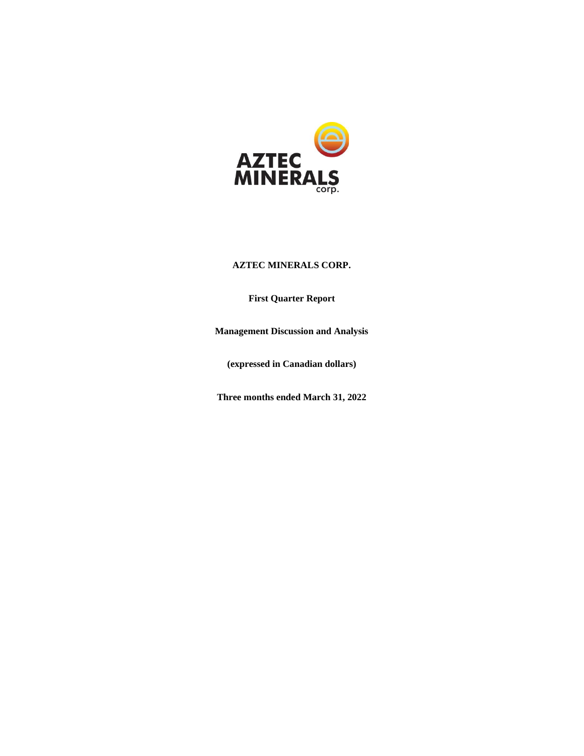

## **First Quarter Report**

**Management Discussion and Analysis**

**(expressed in Canadian dollars)** 

**Three months ended March 31, 2022**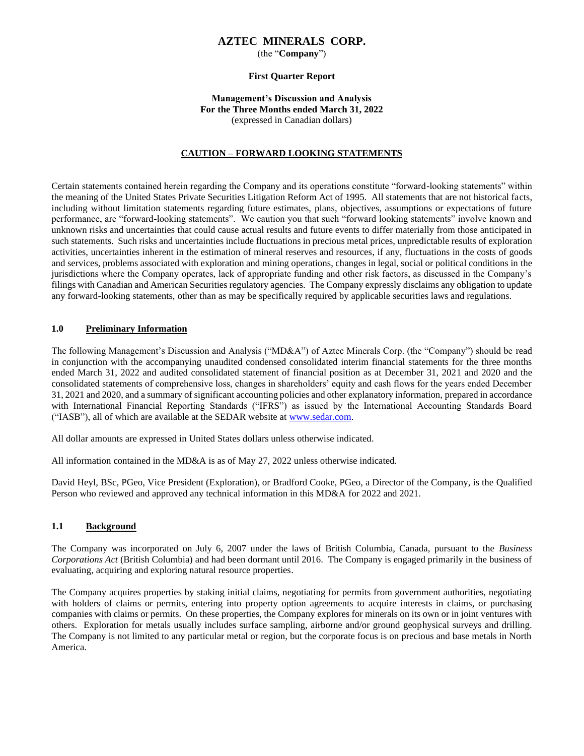(the "**Company**")

#### **First Quarter Report**

#### **Management's Discussion and Analysis For the Three Months ended March 31, 2022** (expressed in Canadian dollars)

#### **CAUTION – FORWARD LOOKING STATEMENTS**

Certain statements contained herein regarding the Company and its operations constitute "forward-looking statements" within the meaning of the United States Private Securities Litigation Reform Act of 1995. All statements that are not historical facts, including without limitation statements regarding future estimates, plans, objectives, assumptions or expectations of future performance, are "forward-looking statements". We caution you that such "forward looking statements" involve known and unknown risks and uncertainties that could cause actual results and future events to differ materially from those anticipated in such statements. Such risks and uncertainties include fluctuations in precious metal prices, unpredictable results of exploration activities, uncertainties inherent in the estimation of mineral reserves and resources, if any, fluctuations in the costs of goods and services, problems associated with exploration and mining operations, changes in legal, social or political conditions in the jurisdictions where the Company operates, lack of appropriate funding and other risk factors, as discussed in the Company's filings with Canadian and American Securities regulatory agencies. The Company expressly disclaims any obligation to update any forward-looking statements, other than as may be specifically required by applicable securities laws and regulations.

#### **1.0 Preliminary Information**

The following Management's Discussion and Analysis ("MD&A") of Aztec Minerals Corp. (the "Company") should be read in conjunction with the accompanying unaudited condensed consolidated interim financial statements for the three months ended March 31, 2022 and audited consolidated statement of financial position as at December 31, 2021 and 2020 and the consolidated statements of comprehensive loss, changes in shareholders' equity and cash flows for the years ended December 31, 2021 and 2020, and a summary of significant accounting policies and other explanatory information, prepared in accordance with International Financial Reporting Standards ("IFRS") as issued by the International Accounting Standards Board ("IASB"), all of which are available at the SEDAR website at [www.sedar.com.](http://www.sedar.com/)

All dollar amounts are expressed in United States dollars unless otherwise indicated.

All information contained in the MD&A is as of May 27, 2022 unless otherwise indicated.

David Heyl, BSc, PGeo, Vice President (Exploration), or Bradford Cooke, PGeo, a Director of the Company, is the Qualified Person who reviewed and approved any technical information in this MD&A for 2022 and 2021.

#### **1.1 Background**

The Company was incorporated on July 6, 2007 under the laws of British Columbia, Canada, pursuant to the *Business Corporations Act* (British Columbia) and had been dormant until 2016. The Company is engaged primarily in the business of evaluating, acquiring and exploring natural resource properties.

The Company acquires properties by staking initial claims, negotiating for permits from government authorities, negotiating with holders of claims or permits, entering into property option agreements to acquire interests in claims, or purchasing companies with claims or permits. On these properties, the Company explores for minerals on its own or in joint ventures with others. Exploration for metals usually includes surface sampling, airborne and/or ground geophysical surveys and drilling. The Company is not limited to any particular metal or region, but the corporate focus is on precious and base metals in North America.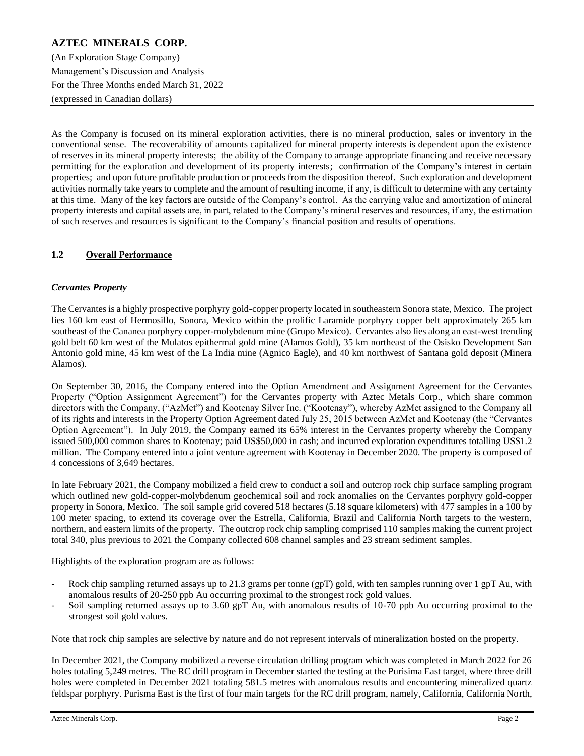## **AZTEC MINERALS CORP.** (An Exploration Stage Company) Management's Discussion and Analysis For the Three Months ended March 31, 2022 (expressed in Canadian dollars)

As the Company is focused on its mineral exploration activities, there is no mineral production, sales or inventory in the conventional sense. The recoverability of amounts capitalized for mineral property interests is dependent upon the existence of reserves in its mineral property interests; the ability of the Company to arrange appropriate financing and receive necessary permitting for the exploration and development of its property interests; confirmation of the Company's interest in certain properties; and upon future profitable production or proceeds from the disposition thereof. Such exploration and development activities normally take years to complete and the amount of resulting income, if any, is difficult to determine with any certainty at this time. Many of the key factors are outside of the Company's control. As the carrying value and amortization of mineral property interests and capital assets are, in part, related to the Company's mineral reserves and resources, if any, the estimation of such reserves and resources is significant to the Company's financial position and results of operations.

## **1.2 Overall Performance**

## *Cervantes Property*

The Cervantes is a highly prospective porphyry gold-copper property located in southeastern Sonora state, Mexico. The project lies 160 km east of Hermosillo, Sonora, Mexico within the prolific Laramide porphyry copper belt approximately 265 km southeast of the Cananea porphyry copper-molybdenum mine (Grupo Mexico). Cervantes also lies along an east-west trending gold belt 60 km west of the Mulatos epithermal gold mine (Alamos Gold), 35 km northeast of the Osisko Development San Antonio gold mine, 45 km west of the La India mine (Agnico Eagle), and 40 km northwest of Santana gold deposit (Minera Alamos).

On September 30, 2016, the Company entered into the Option Amendment and Assignment Agreement for the Cervantes Property ("Option Assignment Agreement") for the Cervantes property with Aztec Metals Corp., which share common directors with the Company, ("AzMet") and Kootenay Silver Inc. ("Kootenay"), whereby AzMet assigned to the Company all of its rights and interests in the Property Option Agreement dated July 25, 2015 between AzMet and Kootenay (the "Cervantes Option Agreement"). In July 2019, the Company earned its 65% interest in the Cervantes property whereby the Company issued 500,000 common shares to Kootenay; paid US\$50,000 in cash; and incurred exploration expenditures totalling US\$1.2 million. The Company entered into a joint venture agreement with Kootenay in December 2020. The property is composed of 4 concessions of 3,649 hectares.

In late February 2021, the Company mobilized a field crew to conduct a soil and outcrop rock chip surface sampling program which outlined new gold-copper-molybdenum geochemical soil and rock anomalies on the Cervantes porphyry gold-copper property in Sonora, Mexico. The soil sample grid covered 518 hectares (5.18 square kilometers) with 477 samples in a 100 by 100 meter spacing, to extend its coverage over the Estrella, California, Brazil and California North targets to the western, northern, and eastern limits of the property. The outcrop rock chip sampling comprised 110 samples making the current project total 340, plus previous to 2021 the Company collected 608 channel samples and 23 stream sediment samples.

Highlights of the exploration program are as follows:

- Rock chip sampling returned assays up to 21.3 grams per tonne (gpT) gold, with ten samples running over 1 gpT Au, with anomalous results of 20-250 ppb Au occurring proximal to the strongest rock gold values.
- Soil sampling returned assays up to 3.60 gpT Au, with anomalous results of 10-70 ppb Au occurring proximal to the strongest soil gold values.

Note that rock chip samples are selective by nature and do not represent intervals of mineralization hosted on the property.

In December 2021, the Company mobilized a reverse circulation drilling program which was completed in March 2022 for 26 holes totaling 5,249 metres. The RC drill program in December started the testing at the Purisima East target, where three drill holes were completed in December 2021 totaling 581.5 metres with anomalous results and encountering mineralized quartz feldspar porphyry. Purisma East is the first of four main targets for the RC drill program, namely, California, California North,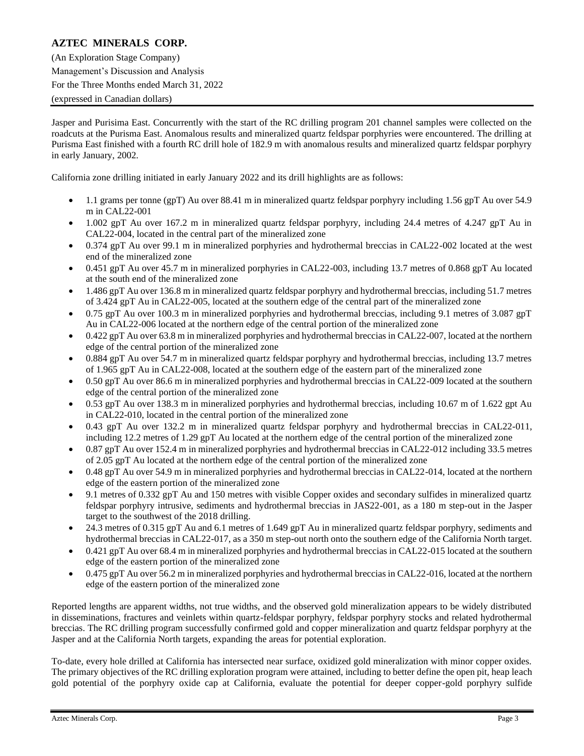(An Exploration Stage Company) Management's Discussion and Analysis For the Three Months ended March 31, 2022 (expressed in Canadian dollars)

Jasper and Purisima East. Concurrently with the start of the RC drilling program 201 channel samples were collected on the roadcuts at the Purisma East. Anomalous results and mineralized quartz feldspar porphyries were encountered. The drilling at Purisma East finished with a fourth RC drill hole of 182.9 m with anomalous results and mineralized quartz feldspar porphyry in early January, 2002.

California zone drilling initiated in early January 2022 and its drill highlights are as follows:

- 1.1 grams per tonne (gpT) Au over 88.41 m in mineralized quartz feldspar porphyry including 1.56 gpT Au over 54.9 m in CAL22-001
- 1.002 gpT Au over 167.2 m in mineralized quartz feldspar porphyry, including 24.4 metres of 4.247 gpT Au in CAL22-004, located in the central part of the mineralized zone
- 0.374 gpT Au over 99.1 m in mineralized porphyries and hydrothermal breccias in CAL22-002 located at the west end of the mineralized zone
- 0.451 gpT Au over 45.7 m in mineralized porphyries in CAL22-003, including 13.7 metres of 0.868 gpT Au located at the south end of the mineralized zone
- 1.486 gpT Au over 136.8 m in mineralized quartz feldspar porphyry and hydrothermal breccias, including 51.7 metres of 3.424 gpT Au in CAL22-005, located at the southern edge of the central part of the mineralized zone
- 0.75 gpT Au over 100.3 m in mineralized porphyries and hydrothermal breccias, including 9.1 metres of 3.087 gpT Au in CAL22-006 located at the northern edge of the central portion of the mineralized zone
- 0.422 gpT Au over 63.8 m in mineralized porphyries and hydrothermal breccias in CAL22-007, located at the northern edge of the central portion of the mineralized zone
- 0.884 gpT Au over 54.7 m in mineralized quartz feldspar porphyry and hydrothermal breccias, including 13.7 metres of 1.965 gpT Au in CAL22-008, located at the southern edge of the eastern part of the mineralized zone
- 0.50 gpT Au over 86.6 m in mineralized porphyries and hydrothermal breccias in CAL22-009 located at the southern edge of the central portion of the mineralized zone
- 0.53 gpT Au over 138.3 m in mineralized porphyries and hydrothermal breccias, including 10.67 m of 1.622 gpt Au in CAL22-010, located in the central portion of the mineralized zone
- 0.43 gpT Au over 132.2 m in mineralized quartz feldspar porphyry and hydrothermal breccias in CAL22-011, including 12.2 metres of 1.29 gpT Au located at the northern edge of the central portion of the mineralized zone
- 0.87 gpT Au over 152.4 m in mineralized porphyries and hydrothermal breccias in CAL22-012 including 33.5 metres of 2.05 gpT Au located at the northern edge of the central portion of the mineralized zone
- 0.48 gpT Au over 54.9 m in mineralized porphyries and hydrothermal breccias in CAL22-014, located at the northern edge of the eastern portion of the mineralized zone
- 9.1 metres of 0.332 gpT Au and 150 metres with visible Copper oxides and secondary sulfides in mineralized quartz feldspar porphyry intrusive, sediments and hydrothermal breccias in JAS22-001, as a 180 m step-out in the Jasper target to the southwest of the 2018 drilling.
- 24.3 metres of 0.315 gpT Au and 6.1 metres of 1.649 gpT Au in mineralized quartz feldspar porphyry, sediments and hydrothermal breccias in CAL22-017, as a 350 m step-out north onto the southern edge of the California North target.
- 0.421 gpT Au over 68.4 m in mineralized porphyries and hydrothermal breccias in CAL22-015 located at the southern edge of the eastern portion of the mineralized zone
- 0.475 gpT Au over 56.2 m in mineralized porphyries and hydrothermal breccias in CAL22-016, located at the northern edge of the eastern portion of the mineralized zone

Reported lengths are apparent widths, not true widths, and the observed gold mineralization appears to be widely distributed in disseminations, fractures and veinlets within quartz-feldspar porphyry, feldspar porphyry stocks and related hydrothermal breccias. The RC drilling program successfully confirmed gold and copper mineralization and quartz feldspar porphyry at the Jasper and at the California North targets, expanding the areas for potential exploration.

To-date, every hole drilled at California has intersected near surface, oxidized gold mineralization with minor copper oxides. The primary objectives of the RC drilling exploration program were attained, including to better define the open pit, heap leach gold potential of the porphyry oxide cap at California, evaluate the potential for deeper copper-gold porphyry sulfide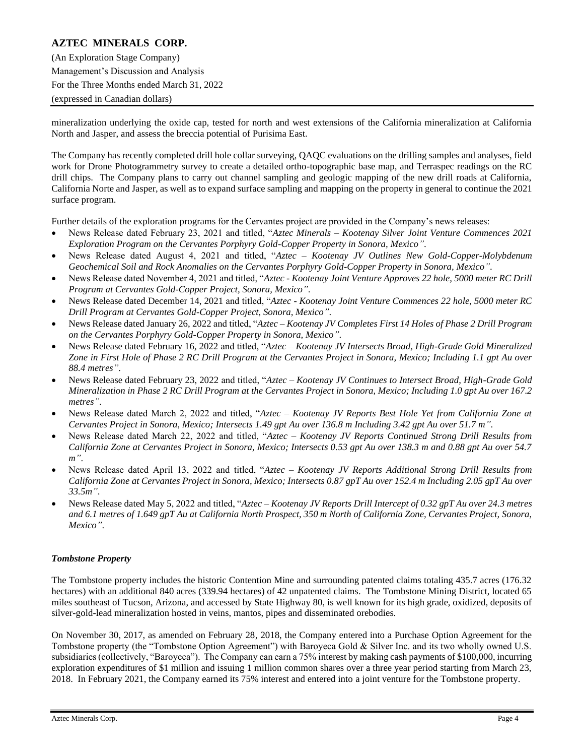(An Exploration Stage Company) Management's Discussion and Analysis For the Three Months ended March 31, 2022 (expressed in Canadian dollars)

mineralization underlying the oxide cap, tested for north and west extensions of the California mineralization at California North and Jasper, and assess the breccia potential of Purisima East.

The Company has recently completed drill hole collar surveying, QAQC evaluations on the drilling samples and analyses, field work for Drone Photogrammetry survey to create a detailed ortho-topographic base map, and Terraspec readings on the RC drill chips. The Company plans to carry out channel sampling and geologic mapping of the new drill roads at California, California Norte and Jasper, as well as to expand surface sampling and mapping on the property in general to continue the 2021 surface program.

Further details of the exploration programs for the Cervantes project are provided in the Company's news releases:

- News Release dated February 23, 2021 and titled, "*Aztec Minerals – Kootenay Silver Joint Venture Commences 2021 Exploration Program on the Cervantes Porphyry Gold-Copper Property in Sonora, Mexico"*.
- News Release dated August 4, 2021 and titled, "*Aztec – Kootenay JV Outlines New Gold-Copper-Molybdenum Geochemical Soil and Rock Anomalies on the Cervantes Porphyry Gold-Copper Property in Sonora, Mexico"*.
- News Release dated November 4, 2021 and titled, "*Aztec - Kootenay Joint Venture Approves 22 hole, 5000 meter RC Drill Program at Cervantes Gold-Copper Project, Sonora, Mexico"*.
- News Release dated December 14, 2021 and titled, "*Aztec - Kootenay Joint Venture Commences 22 hole, 5000 meter RC Drill Program at Cervantes Gold-Copper Project, Sonora, Mexico"*.
- News Release dated January 26, 2022 and titled, "*Aztec – Kootenay JV Completes First 14 Holes of Phase 2 Drill Program on the Cervantes Porphyry Gold-Copper Property in Sonora, Mexico"*.
- News Release dated February 16, 2022 and titled, "*Aztec – Kootenay JV Intersects Broad, High-Grade Gold Mineralized Zone in First Hole of Phase 2 RC Drill Program at the Cervantes Project in Sonora, Mexico; Including 1.1 gpt Au over 88.4 metres"*.
- News Release dated February 23, 2022 and titled, "*Aztec – Kootenay JV Continues to Intersect Broad, High-Grade Gold Mineralization in Phase 2 RC Drill Program at the Cervantes Project in Sonora, Mexico; Including 1.0 gpt Au over 167.2 metres"*.
- News Release dated March 2, 2022 and titled, "*Aztec – Kootenay JV Reports Best Hole Yet from California Zone at Cervantes Project in Sonora, Mexico; Intersects 1.49 gpt Au over 136.8 m Including 3.42 gpt Au over 51.7 m"*.
- News Release dated March 22, 2022 and titled, "*Aztec – Kootenay JV Reports Continued Strong Drill Results from California Zone at Cervantes Project in Sonora, Mexico; Intersects 0.53 gpt Au over 138.3 m and 0.88 gpt Au over 54.7 m"*.
- News Release dated April 13, 2022 and titled, "*Aztec – Kootenay JV Reports Additional Strong Drill Results from California Zone at Cervantes Project in Sonora, Mexico; Intersects 0.87 gpT Au over 152.4 m Including 2.05 gpT Au over 33.5m"*.
- News Release dated May 5, 2022 and titled, "*Aztec – Kootenay JV Reports Drill Intercept of 0.32 gpT Au over 24.3 metres and 6.1 metres of 1.649 gpT Au at California North Prospect, 350 m North of California Zone, Cervantes Project, Sonora, Mexico"*.

### *Tombstone Property*

The Tombstone property includes the historic Contention Mine and surrounding patented claims totaling 435.7 acres (176.32 hectares) with an additional 840 acres (339.94 hectares) of 42 unpatented claims. The Tombstone Mining District, located 65 miles southeast of Tucson, Arizona, and accessed by State Highway 80, is well known for its high grade, oxidized, deposits of silver-gold-lead mineralization hosted in veins, mantos, pipes and disseminated orebodies.

On November 30, 2017, as amended on February 28, 2018, the Company entered into a Purchase Option Agreement for the Tombstone property (the "Tombstone Option Agreement") with Baroyeca Gold & Silver Inc. and its two wholly owned U.S. subsidiaries (collectively, "Baroyeca"). The Company can earn a 75% interest by making cash payments of \$100,000, incurring exploration expenditures of \$1 million and issuing 1 million common shares over a three year period starting from March 23, 2018. In February 2021, the Company earned its 75% interest and entered into a joint venture for the Tombstone property.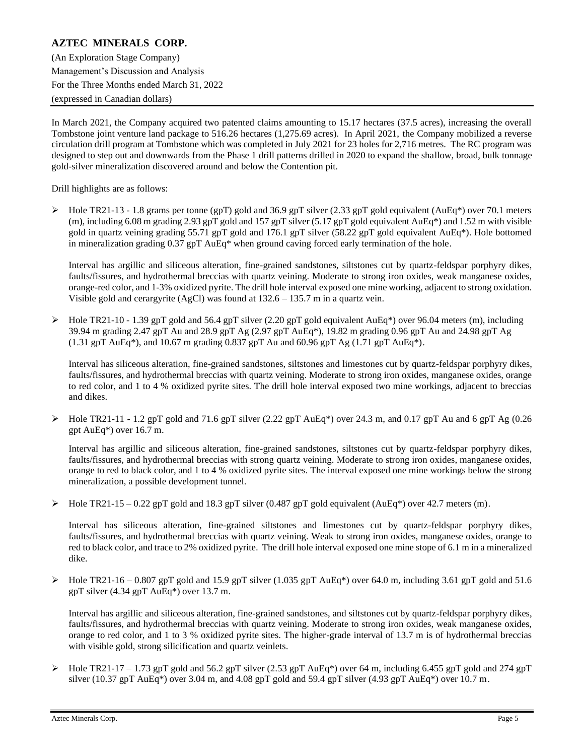(An Exploration Stage Company) Management's Discussion and Analysis For the Three Months ended March 31, 2022 (expressed in Canadian dollars)

In March 2021, the Company acquired two patented claims amounting to 15.17 hectares (37.5 acres), increasing the overall Tombstone joint venture land package to 516.26 hectares (1,275.69 acres). In April 2021, the Company mobilized a reverse circulation drill program at Tombstone which was completed in July 2021 for 23 holes for 2,716 metres. The RC program was designed to step out and downwards from the Phase 1 drill patterns drilled in 2020 to expand the shallow, broad, bulk tonnage gold-silver mineralization discovered around and below the Contention pit.

Drill highlights are as follows:

 $\triangleright$  Hole TR21-13 - 1.8 grams per tonne (gpT) gold and 36.9 gpT silver (2.33 gpT gold equivalent (AuEq\*) over 70.1 meters (m), including 6.08 m grading 2.93 gpT gold and 157 gpT silver (5.17 gpT gold equivalent AuEq\*) and 1.52 m with visible gold in quartz veining grading 55.71 gpT gold and 176.1 gpT silver (58.22 gpT gold equivalent AuEq\*). Hole bottomed in mineralization grading 0.37 gpT AuEq\* when ground caving forced early termination of the hole.

Interval has argillic and siliceous alteration, fine-grained sandstones, siltstones cut by quartz-feldspar porphyry dikes, faults/fissures, and hydrothermal breccias with quartz veining. Moderate to strong iron oxides, weak manganese oxides, orange-red color, and 1-3% oxidized pyrite. The drill hole interval exposed one mine working, adjacent to strong oxidation. Visible gold and cerargyrite (AgCl) was found at 132.6 – 135.7 m in a quartz vein.

 $\blacktriangleright$  Hole TR21-10 - 1.39 gpT gold and 56.4 gpT silver (2.20 gpT gold equivalent AuEq\*) over 96.04 meters (m), including 39.94 m grading 2.47 gpT Au and 28.9 gpT Ag (2.97 gpT AuEq\*), 19.82 m grading 0.96 gpT Au and 24.98 gpT Ag  $(1.31 \text{ g})$ T AuEq\*), and 10.67 m grading 0.837 gpT Au and 60.96 gpT Ag  $(1.71 \text{ g})$ T AuEq\*).

Interval has siliceous alteration, fine-grained sandstones, siltstones and limestones cut by quartz-feldspar porphyry dikes, faults/fissures, and hydrothermal breccias with quartz veining. Moderate to strong iron oxides, manganese oxides, orange to red color, and 1 to 4 % oxidized pyrite sites. The drill hole interval exposed two mine workings, adjacent to breccias and dikes.

 $\blacktriangleright$  Hole TR21-11 - 1.2 gpT gold and 71.6 gpT silver (2.22 gpT AuEq\*) over 24.3 m, and 0.17 gpT Au and 6 gpT Ag (0.26 gpt AuEq\*) over 16.7 m.

Interval has argillic and siliceous alteration, fine-grained sandstones, siltstones cut by quartz-feldspar porphyry dikes, faults/fissures, and hydrothermal breccias with strong quartz veining. Moderate to strong iron oxides, manganese oxides, orange to red to black color, and 1 to 4 % oxidized pyrite sites. The interval exposed one mine workings below the strong mineralization, a possible development tunnel.

 $\triangleright$  Hole TR21-15 – 0.22 gpT gold and 18.3 gpT silver (0.487 gpT gold equivalent (AuEq\*) over 42.7 meters (m).

Interval has siliceous alteration, fine-grained siltstones and limestones cut by quartz-feldspar porphyry dikes, faults/fissures, and hydrothermal breccias with quartz veining. Weak to strong iron oxides, manganese oxides, orange to red to black color, and trace to 2% oxidized pyrite. The drill hole interval exposed one mine stope of 6.1 m in a mineralized dike.

 $\blacktriangleright$  Hole TR21-16 – 0.807 gpT gold and 15.9 gpT silver (1.035 gpT AuEq<sup>\*</sup>) over 64.0 m, including 3.61 gpT gold and 51.6 gpT silver (4.34 gpT AuEq\*) over 13.7 m.

Interval has argillic and siliceous alteration, fine-grained sandstones, and siltstones cut by quartz-feldspar porphyry dikes, faults/fissures, and hydrothermal breccias with quartz veining. Moderate to strong iron oxides, weak manganese oxides, orange to red color, and 1 to 3 % oxidized pyrite sites. The higher-grade interval of 13.7 m is of hydrothermal breccias with visible gold, strong silicification and quartz veinlets.

 $\blacktriangleright$  Hole TR21-17 – 1.73 gpT gold and 56.2 gpT silver (2.53 gpT AuEq\*) over 64 m, including 6.455 gpT gold and 274 gpT silver (10.37 gpT AuEq\*) over 3.04 m, and 4.08 gpT gold and 59.4 gpT silver (4.93 gpT AuEq\*) over 10.7 m.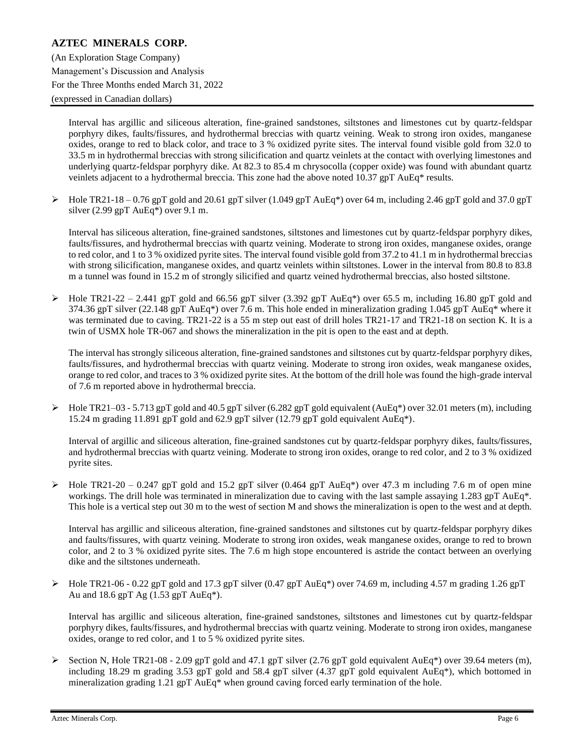## **AZTEC MINERALS CORP.** (An Exploration Stage Company) Management's Discussion and Analysis For the Three Months ended March 31, 2022 (expressed in Canadian dollars)

Interval has argillic and siliceous alteration, fine-grained sandstones, siltstones and limestones cut by quartz-feldspar porphyry dikes, faults/fissures, and hydrothermal breccias with quartz veining. Weak to strong iron oxides, manganese oxides, orange to red to black color, and trace to 3 % oxidized pyrite sites. The interval found visible gold from 32.0 to 33.5 m in hydrothermal breccias with strong silicification and quartz veinlets at the contact with overlying limestones and underlying quartz-feldspar porphyry dike. At 82.3 to 85.4 m chrysocolla (copper oxide) was found with abundant quartz veinlets adjacent to a hydrothermal breccia. This zone had the above noted 10.37 gpT AuEq\* results.

 $\triangleright$  Hole TR21-18 – 0.76 gpT gold and 20.61 gpT silver (1.049 gpT AuEq\*) over 64 m, including 2.46 gpT gold and 37.0 gpT silver (2.99 gpT AuEq\*) over 9.1 m.

Interval has siliceous alteration, fine-grained sandstones, siltstones and limestones cut by quartz-feldspar porphyry dikes, faults/fissures, and hydrothermal breccias with quartz veining. Moderate to strong iron oxides, manganese oxides, orange to red color, and 1 to 3 % oxidized pyrite sites. The interval found visible gold from 37.2 to 41.1 m in hydrothermal breccias with strong silicification, manganese oxides, and quartz veinlets within siltstones. Lower in the interval from 80.8 to 83.8 m a tunnel was found in 15.2 m of strongly silicified and quartz veined hydrothermal breccias, also hosted siltstone.

 $\blacktriangleright$  Hole TR21-22 – 2.441 gpT gold and 66.56 gpT silver (3.392 gpT AuEq\*) over 65.5 m, including 16.80 gpT gold and 374.36 gpT silver (22.148 gpT AuEq\*) over 7.6 m. This hole ended in mineralization grading 1.045 gpT AuEq\* where it was terminated due to caving. TR21-22 is a 55 m step out east of drill holes TR21-17 and TR21-18 on section K. It is a twin of USMX hole TR-067 and shows the mineralization in the pit is open to the east and at depth.

The interval has strongly siliceous alteration, fine-grained sandstones and siltstones cut by quartz-feldspar porphyry dikes, faults/fissures, and hydrothermal breccias with quartz veining. Moderate to strong iron oxides, weak manganese oxides, orange to red color, and traces to 3 % oxidized pyrite sites. At the bottom of the drill hole was found the high-grade interval of 7.6 m reported above in hydrothermal breccia.

 $\blacktriangleright$  Hole TR21–03 - 5.713 gpT gold and 40.5 gpT silver (6.282 gpT gold equivalent (AuEq\*) over 32.01 meters (m), including 15.24 m grading 11.891 gpT gold and 62.9 gpT silver (12.79 gpT gold equivalent AuEq\*).

Interval of argillic and siliceous alteration, fine-grained sandstones cut by quartz-feldspar porphyry dikes, faults/fissures, and hydrothermal breccias with quartz veining. Moderate to strong iron oxides, orange to red color, and 2 to 3 % oxidized pyrite sites.

 $\blacktriangleright$  Hole TR21-20 – 0.247 gpT gold and 15.2 gpT silver (0.464 gpT AuEq<sup>\*</sup>) over 47.3 m including 7.6 m of open mine workings. The drill hole was terminated in mineralization due to caving with the last sample assaying 1.283 gpT AuEq\*. This hole is a vertical step out 30 m to the west of section M and shows the mineralization is open to the west and at depth.

Interval has argillic and siliceous alteration, fine-grained sandstones and siltstones cut by quartz-feldspar porphyry dikes and faults/fissures, with quartz veining. Moderate to strong iron oxides, weak manganese oxides, orange to red to brown color, and 2 to 3 % oxidized pyrite sites. The 7.6 m high stope encountered is astride the contact between an overlying dike and the siltstones underneath.

 $\blacktriangleright$  Hole TR21-06 - 0.22 gpT gold and 17.3 gpT silver (0.47 gpT AuEq\*) over 74.69 m, including 4.57 m grading 1.26 gpT Au and 18.6 gpT Ag (1.53 gpT AuEq\*).

Interval has argillic and siliceous alteration, fine-grained sandstones, siltstones and limestones cut by quartz-feldspar porphyry dikes, faults/fissures, and hydrothermal breccias with quartz veining. Moderate to strong iron oxides, manganese oxides, orange to red color, and 1 to 5 % oxidized pyrite sites.

 $\triangleright$  Section N, Hole TR21-08 - 2.09 gpT gold and 47.1 gpT silver (2.76 gpT gold equivalent AuEq\*) over 39.64 meters (m), including 18.29 m grading 3.53 gpT gold and 58.4 gpT silver (4.37 gpT gold equivalent AuEq\*), which bottomed in mineralization grading 1.21 gpT AuEq\* when ground caving forced early termination of the hole.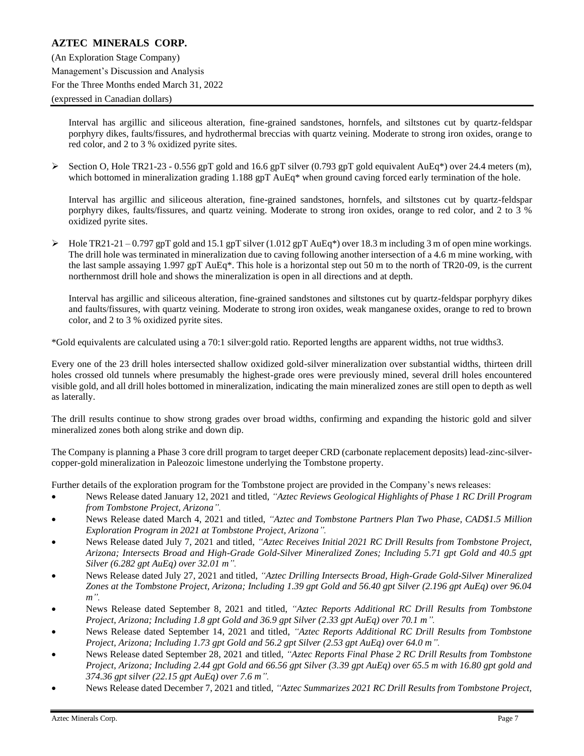Interval has argillic and siliceous alteration, fine-grained sandstones, hornfels, and siltstones cut by quartz-feldspar porphyry dikes, faults/fissures, and hydrothermal breccias with quartz veining. Moderate to strong iron oxides, orange to red color, and 2 to 3 % oxidized pyrite sites.

 $\triangleright$  Section O, Hole TR21-23 - 0.556 gpT gold and 16.6 gpT silver (0.793 gpT gold equivalent AuEq<sup>\*</sup>) over 24.4 meters (m), which bottomed in mineralization grading 1.188 gpT AuEq\* when ground caving forced early termination of the hole.

Interval has argillic and siliceous alteration, fine-grained sandstones, hornfels, and siltstones cut by quartz-feldspar porphyry dikes, faults/fissures, and quartz veining. Moderate to strong iron oxides, orange to red color, and 2 to 3 % oxidized pyrite sites.

 $\triangleright$  Hole TR21-21 – 0.797 gpT gold and 15.1 gpT silver (1.012 gpT AuEq\*) over 18.3 m including 3 m of open mine workings. The drill hole was terminated in mineralization due to caving following another intersection of a 4.6 m mine working, with the last sample assaying 1.997 gpT AuEq\*. This hole is a horizontal step out 50 m to the north of TR20-09, is the current northernmost drill hole and shows the mineralization is open in all directions and at depth.

Interval has argillic and siliceous alteration, fine-grained sandstones and siltstones cut by quartz-feldspar porphyry dikes and faults/fissures, with quartz veining. Moderate to strong iron oxides, weak manganese oxides, orange to red to brown color, and 2 to 3 % oxidized pyrite sites.

\*Gold equivalents are calculated using a 70:1 silver:gold ratio. Reported lengths are apparent widths, not true widths3.

Every one of the 23 drill holes intersected shallow oxidized gold-silver mineralization over substantial widths, thirteen drill holes crossed old tunnels where presumably the highest-grade ores were previously mined, several drill holes encountered visible gold, and all drill holes bottomed in mineralization, indicating the main mineralized zones are still open to depth as well as laterally.

The drill results continue to show strong grades over broad widths, confirming and expanding the historic gold and silver mineralized zones both along strike and down dip.

The Company is planning a Phase 3 core drill program to target deeper CRD (carbonate replacement deposits) lead-zinc-silvercopper-gold mineralization in Paleozoic limestone underlying the Tombstone property.

Further details of the exploration program for the Tombstone project are provided in the Company's news releases:

- News Release dated January 12, 2021 and titled, *"Aztec Reviews Geological Highlights of Phase 1 RC Drill Program from Tombstone Project, Arizona".*
- News Release dated March 4, 2021 and titled, *"Aztec and Tombstone Partners Plan Two Phase, CAD\$1.5 Million Exploration Program in 2021 at Tombstone Project, Arizona".*
- News Release dated July 7, 2021 and titled, *"Aztec Receives Initial 2021 RC Drill Results from Tombstone Project, Arizona; Intersects Broad and High-Grade Gold-Silver Mineralized Zones; Including 5.71 gpt Gold and 40.5 gpt Silver (6.282 gpt AuEq) over 32.01 m".*
- News Release dated July 27, 2021 and titled, *"Aztec Drilling Intersects Broad, High-Grade Gold-Silver Mineralized Zones at the Tombstone Project, Arizona; Including 1.39 gpt Gold and 56.40 gpt Silver (2.196 gpt AuEq) over 96.04 m".*
- News Release dated September 8, 2021 and titled, *"Aztec Reports Additional RC Drill Results from Tombstone Project, Arizona; Including 1.8 gpt Gold and 36.9 gpt Silver (2.33 gpt AuEq) over 70.1 m".*
- News Release dated September 14, 2021 and titled, *"Aztec Reports Additional RC Drill Results from Tombstone Project, Arizona; Including 1.73 gpt Gold and 56.2 gpt Silver (2.53 gpt AuEq) over 64.0 m".*
- News Release dated September 28, 2021 and titled, *"Aztec Reports Final Phase 2 RC Drill Results from Tombstone Project, Arizona; Including 2.44 gpt Gold and 66.56 gpt Silver (3.39 gpt AuEq) over 65.5 m with 16.80 gpt gold and 374.36 gpt silver (22.15 gpt AuEq) over 7.6 m".*
- News Release dated December 7, 2021 and titled, *"Aztec Summarizes 2021 RC Drill Results from Tombstone Project,*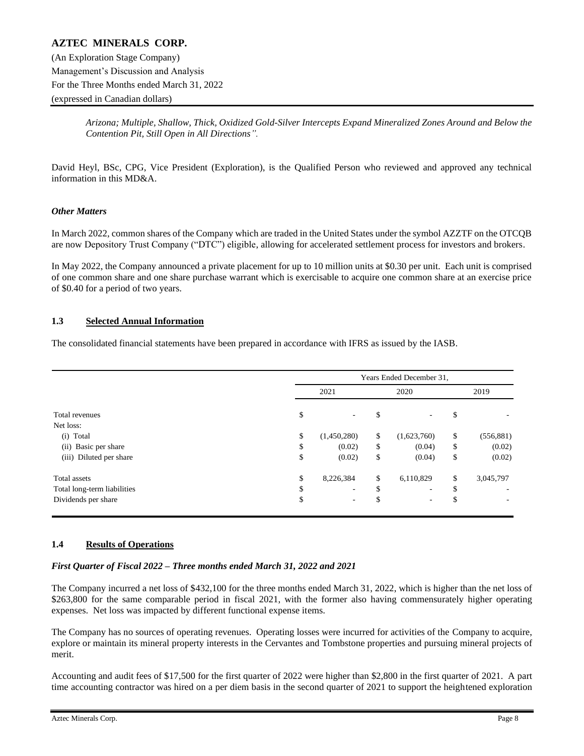## **AZTEC MINERALS CORP.** (An Exploration Stage Company) Management's Discussion and Analysis For the Three Months ended March 31, 2022 (expressed in Canadian dollars)

*Arizona; Multiple, Shallow, Thick, Oxidized Gold-Silver Intercepts Expand Mineralized Zones Around and Below the Contention Pit, Still Open in All Directions".*

David Heyl, BSc, CPG, Vice President (Exploration), is the Qualified Person who reviewed and approved any technical information in this MD&A.

#### *Other Matters*

In March 2022, common shares of the Company which are traded in the United States under the symbol AZZTF on the OTCQB are now Depository Trust Company ("DTC") eligible, allowing for accelerated settlement process for investors and brokers.

In May 2022, the Company announced a private placement for up to 10 million units at \$0.30 per unit. Each unit is comprised of one common share and one share purchase warrant which is exercisable to acquire one common share at an exercise price of \$0.40 for a period of two years.

### **1.3 Selected Annual Information**

The consolidated financial statements have been prepared in accordance with IFRS as issued by the IASB.

|                             |                                | Years Ended December 31, |                  |
|-----------------------------|--------------------------------|--------------------------|------------------|
|                             | 2021                           | 2020                     | 2019             |
| Total revenues              | \$<br>$\overline{\phantom{0}}$ | \$<br>٠.                 | \$               |
| Net loss:                   |                                |                          |                  |
| Total<br>(i)                | \$<br>(1,450,280)              | \$<br>(1,623,760)        | \$<br>(556, 881) |
| (ii) Basic per share        | \$<br>(0.02)                   | \$<br>(0.04)             | \$<br>(0.02)     |
| (iii) Diluted per share     | \$<br>(0.02)                   | \$<br>(0.04)             | \$<br>(0.02)     |
| Total assets                | \$<br>8,226,384                | \$<br>6,110,829          | \$<br>3,045,797  |
| Total long-term liabilities | \$<br>٠                        | \$<br>۰                  | \$               |
| Dividends per share         | \$<br>۰                        | \$<br>۰                  | \$               |

#### **1.4 Results of Operations**

#### *First Quarter of Fiscal 2022 – Three months ended March 31, 2022 and 2021*

The Company incurred a net loss of \$432,100 for the three months ended March 31, 2022, which is higher than the net loss of \$263,800 for the same comparable period in fiscal 2021, with the former also having commensurately higher operating expenses. Net loss was impacted by different functional expense items.

The Company has no sources of operating revenues. Operating losses were incurred for activities of the Company to acquire, explore or maintain its mineral property interests in the Cervantes and Tombstone properties and pursuing mineral projects of merit.

Accounting and audit fees of \$17,500 for the first quarter of 2022 were higher than \$2,800 in the first quarter of 2021. A part time accounting contractor was hired on a per diem basis in the second quarter of 2021 to support the heightened exploration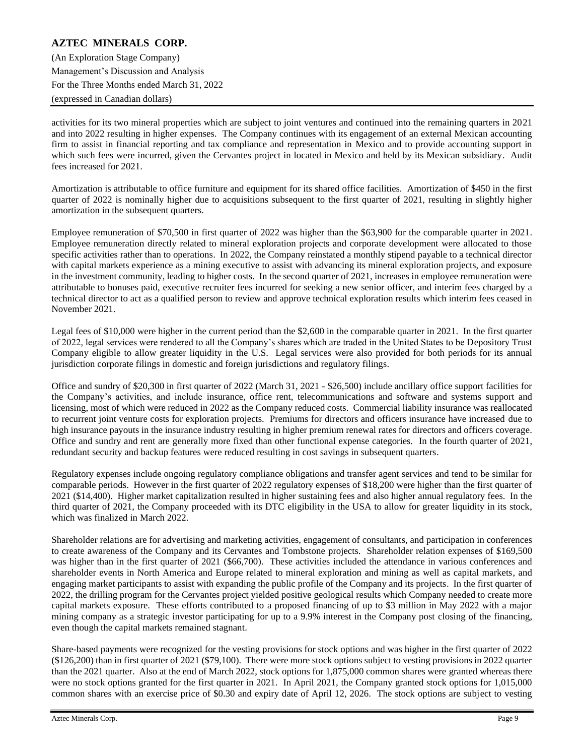## **AZTEC MINERALS CORP.** (An Exploration Stage Company)

Management's Discussion and Analysis For the Three Months ended March 31, 2022 (expressed in Canadian dollars)

activities for its two mineral properties which are subject to joint ventures and continued into the remaining quarters in 2021 and into 2022 resulting in higher expenses. The Company continues with its engagement of an external Mexican accounting firm to assist in financial reporting and tax compliance and representation in Mexico and to provide accounting support in which such fees were incurred, given the Cervantes project in located in Mexico and held by its Mexican subsidiary. Audit fees increased for 2021.

Amortization is attributable to office furniture and equipment for its shared office facilities. Amortization of \$450 in the first quarter of 2022 is nominally higher due to acquisitions subsequent to the first quarter of 2021, resulting in slightly higher amortization in the subsequent quarters.

Employee remuneration of \$70,500 in first quarter of 2022 was higher than the \$63,900 for the comparable quarter in 2021. Employee remuneration directly related to mineral exploration projects and corporate development were allocated to those specific activities rather than to operations. In 2022, the Company reinstated a monthly stipend payable to a technical director with capital markets experience as a mining executive to assist with advancing its mineral exploration projects, and exposure in the investment community, leading to higher costs. In the second quarter of 2021, increases in employee remuneration were attributable to bonuses paid, executive recruiter fees incurred for seeking a new senior officer, and interim fees charged by a technical director to act as a qualified person to review and approve technical exploration results which interim fees ceased in November 2021.

Legal fees of \$10,000 were higher in the current period than the \$2,600 in the comparable quarter in 2021. In the first quarter of 2022, legal services were rendered to all the Company's shares which are traded in the United States to be Depository Trust Company eligible to allow greater liquidity in the U.S. Legal services were also provided for both periods for its annual jurisdiction corporate filings in domestic and foreign jurisdictions and regulatory filings.

Office and sundry of \$20,300 in first quarter of 2022 (March 31, 2021 - \$26,500) include ancillary office support facilities for the Company's activities, and include insurance, office rent, telecommunications and software and systems support and licensing, most of which were reduced in 2022 as the Company reduced costs. Commercial liability insurance was reallocated to recurrent joint venture costs for exploration projects. Premiums for directors and officers insurance have increased due to high insurance payouts in the insurance industry resulting in higher premium renewal rates for directors and officers coverage. Office and sundry and rent are generally more fixed than other functional expense categories. In the fourth quarter of 2021, redundant security and backup features were reduced resulting in cost savings in subsequent quarters.

Regulatory expenses include ongoing regulatory compliance obligations and transfer agent services and tend to be similar for comparable periods. However in the first quarter of 2022 regulatory expenses of \$18,200 were higher than the first quarter of 2021 (\$14,400). Higher market capitalization resulted in higher sustaining fees and also higher annual regulatory fees. In the third quarter of 2021, the Company proceeded with its DTC eligibility in the USA to allow for greater liquidity in its stock, which was finalized in March 2022.

Shareholder relations are for advertising and marketing activities, engagement of consultants, and participation in conferences to create awareness of the Company and its Cervantes and Tombstone projects. Shareholder relation expenses of \$169,500 was higher than in the first quarter of 2021 (\$66,700). These activities included the attendance in various conferences and shareholder events in North America and Europe related to mineral exploration and mining as well as capital markets, and engaging market participants to assist with expanding the public profile of the Company and its projects. In the first quarter of 2022, the drilling program for the Cervantes project yielded positive geological results which Company needed to create more capital markets exposure. These efforts contributed to a proposed financing of up to \$3 million in May 2022 with a major mining company as a strategic investor participating for up to a 9.9% interest in the Company post closing of the financing, even though the capital markets remained stagnant.

Share-based payments were recognized for the vesting provisions for stock options and was higher in the first quarter of 2022 (\$126,200) than in first quarter of 2021 (\$79,100). There were more stock options subject to vesting provisions in 2022 quarter than the 2021 quarter. Also at the end of March 2022, stock options for 1,875,000 common shares were granted whereas there were no stock options granted for the first quarter in 2021. In April 2021, the Company granted stock options for 1,015,000 common shares with an exercise price of \$0.30 and expiry date of April 12, 2026. The stock options are subject to vesting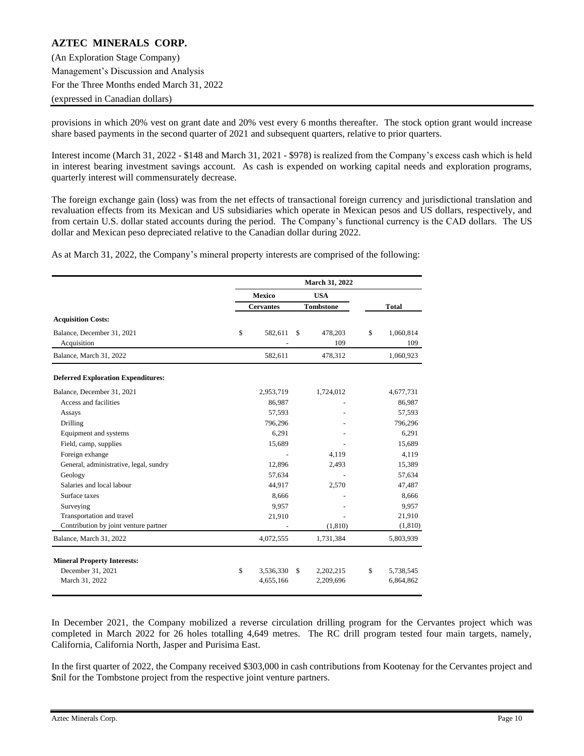(An Exploration Stage Company) Management's Discussion and Analysis For the Three Months ended March 31, 2022 (expressed in Canadian dollars)

provisions in which 20% vest on grant date and 20% vest every 6 months thereafter. The stock option grant would increase share based payments in the second quarter of 2021 and subsequent quarters, relative to prior quarters.

Interest income (March 31, 2022 - \$148 and March 31, 2021 - \$978) is realized from the Company's excess cash which is held in interest bearing investment savings account. As cash is expended on working capital needs and exploration programs, quarterly interest will commensurately decrease.

The foreign exchange gain (loss) was from the net effects of transactional foreign currency and jurisdictional translation and revaluation effects from its Mexican and US subsidiaries which operate in Mexican pesos and US dollars, respectively, and from certain U.S. dollar stated accounts during the period. The Company's functional currency is the CAD dollars. The US dollar and Mexican peso depreciated relative to the Canadian dollar during 2022.

As at March 31, 2022, the Company's mineral property interests are comprised of the following:

|                                           |                  |               | March 31, 2022 |                        |
|-------------------------------------------|------------------|---------------|----------------|------------------------|
|                                           | <b>Mexico</b>    |               | <b>USA</b>     |                        |
|                                           | <b>Cervantes</b> |               |                | <b>Total</b>           |
| <b>Acquisition Costs:</b>                 |                  |               |                |                        |
| Balance, December 31, 2021<br>Acquisition | \$<br>582,611    | $\mathcal{S}$ | 478,203<br>109 | \$<br>1,060,814<br>109 |
| Balance, March 31, 2022                   | 582,611          |               | 478,312        | 1,060,923              |
| <b>Deferred Exploration Expenditures:</b> |                  |               |                |                        |
| Balance, December 31, 2021                | 2,953,719        |               | 1,724,012      | 4,677,731              |
| Access and facilities                     | 86,987           |               |                | 86,987                 |
| Assays                                    | 57,593           |               |                | 57,593                 |
| Drilling                                  | 796,296          |               |                | 796,296                |
| Equipment and systems                     | 6,291            |               |                | 6,291                  |
| Field, camp, supplies                     | 15,689           |               |                | 15,689                 |
| Foreign exhange                           |                  |               | 4,119          | 4,119                  |
| General, administrative, legal, sundry    | 12,896           |               | 2,493          | 15,389                 |
| Geology                                   | 57,634           |               |                | 57,634                 |
| Salaries and local labour                 | 44,917           |               | 2,570          | 47,487                 |
| Surface taxes                             | 8,666            |               |                | 8,666                  |
| Surveying                                 | 9,957            |               |                | 9,957                  |
| Transportation and travel                 | 21,910           |               |                | 21,910                 |
| Contribution by joint venture partner     |                  |               | (1, 810)       | (1, 810)               |
| Balance, March 31, 2022                   | 4,072,555        |               | 1,731,384      | 5,803,939              |
| <b>Mineral Property Interests:</b>        |                  |               |                |                        |
| December 31, 2021                         | \$<br>3,536,330  | \$.           | 2,202,215      | \$<br>5,738,545        |
| March 31, 2022                            | 4,655,166        |               | 2,209,696      | 6,864,862              |

In December 2021, the Company mobilized a reverse circulation drilling program for the Cervantes project which was completed in March 2022 for 26 holes totalling 4,649 metres. The RC drill program tested four main targets, namely, California, California North, Jasper and Purisima East.

In the first quarter of 2022, the Company received \$303,000 in cash contributions from Kootenay for the Cervantes project and \$nil for the Tombstone project from the respective joint venture partners.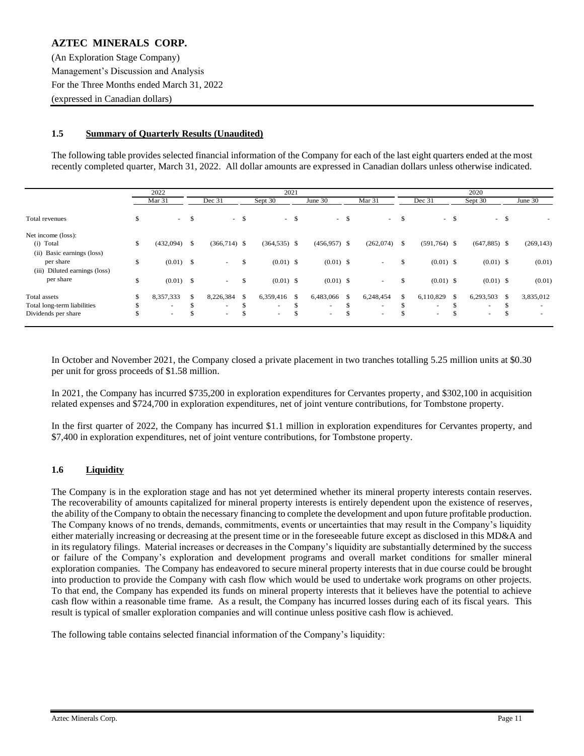(An Exploration Stage Company) Management's Discussion and Analysis For the Three Months ended March 31, 2022 (expressed in Canadian dollars)

### **1.5 Summary of Quarterly Results (Unaudited)**

The following table provides selected financial information of the Company for each of the last eight quarters ended at the most recently completed quarter, March 31, 2022. All dollar amounts are expressed in Canadian dollars unless otherwise indicated.

|                                  |     | 2022                     |                      |      |                 | 2021 |                |      |                   | 2020 |                          |      |                |        |                          |
|----------------------------------|-----|--------------------------|----------------------|------|-----------------|------|----------------|------|-------------------|------|--------------------------|------|----------------|--------|--------------------------|
|                                  |     | Mar <sub>31</sub>        | Dec 31               |      | Sept 30         |      | June 30        |      | Mar <sub>31</sub> |      | Dec 31                   |      | Sept 30        |        | June 30                  |
| Total revenues                   | \$  | $\sim$                   | \$                   | $-5$ |                 | $-5$ |                | $-5$ |                   | $-5$ |                          | $-5$ |                | $-$ \$ | ٠                        |
| Net income (loss):               |     |                          |                      |      |                 |      |                |      |                   |      |                          |      |                |        |                          |
| (i) Total                        | \$  | (432,094)                | \$<br>$(366,714)$ \$ |      | $(364, 535)$ \$ |      | $(456,957)$ \$ |      | (262,074)         | - \$ | $(591,764)$ \$           |      | $(647,885)$ \$ |        | (269, 143)               |
| (ii) Basic earnings (loss)       |     |                          |                      |      |                 |      |                |      |                   |      |                          |      |                |        |                          |
| per share                        | \$  | $(0.01)$ \$              | $\sim$               | \$   | $(0.01)$ \$     |      | $(0.01)$ \$    |      | $\sim$            | \$   | $(0.01)$ \$              |      | $(0.01)$ \$    |        | (0.01)                   |
| Diluted earnings (loss)<br>(iii) |     |                          |                      |      |                 |      |                |      |                   |      |                          |      |                |        |                          |
| per share                        | \$  | $(0.01)$ \$              | $\sim$               | \$   | $(0.01)$ \$     |      | $(0.01)$ \$    |      | $\sim$            | \$   | $(0.01)$ \$              |      | $(0.01)$ \$    |        | (0.01)                   |
| Total assets                     | \$  | 8,357,333                | \$<br>8,226,384      | \$   | 6,359,416 \$    |      | 6,483,066      | -S   | 6,248,454         | \$   | 6,110,829                | -S   | 6,293,503      | -S     | 3,835,012                |
| Total long-term liabilities      | \$  | $\overline{\phantom{a}}$ | \$<br>$\sim$         | \$   | $\sim$          | ъ    | $\sim$         | \$.  | $\sim$            | \$   | $\overline{\phantom{a}}$ |      | ۰              |        | $\overline{\phantom{a}}$ |
| Dividends per share              | \$. | $\overline{\phantom{a}}$ | \$<br>$\sim$         | \$   | $\sim$          | ъ    | $\sim$         | \$   | $\sim$            | \$.  | $\overline{\phantom{a}}$ | ъ    | $\sim$         |        | $\overline{\phantom{a}}$ |

In October and November 2021, the Company closed a private placement in two tranches totalling 5.25 million units at \$0.30 per unit for gross proceeds of \$1.58 million.

In 2021, the Company has incurred \$735,200 in exploration expenditures for Cervantes property, and \$302,100 in acquisition related expenses and \$724,700 in exploration expenditures, net of joint venture contributions, for Tombstone property.

In the first quarter of 2022, the Company has incurred \$1.1 million in exploration expenditures for Cervantes property, and \$7,400 in exploration expenditures, net of joint venture contributions, for Tombstone property.

## **1.6 Liquidity**

The Company is in the exploration stage and has not yet determined whether its mineral property interests contain reserves. The recoverability of amounts capitalized for mineral property interests is entirely dependent upon the existence of reserves, the ability of the Company to obtain the necessary financing to complete the development and upon future profitable production. The Company knows of no trends, demands, commitments, events or uncertainties that may result in the Company's liquidity either materially increasing or decreasing at the present time or in the foreseeable future except as disclosed in this MD&A and in its regulatory filings. Material increases or decreases in the Company's liquidity are substantially determined by the success or failure of the Company's exploration and development programs and overall market conditions for smaller mineral exploration companies. The Company has endeavored to secure mineral property interests that in due course could be brought into production to provide the Company with cash flow which would be used to undertake work programs on other projects. To that end, the Company has expended its funds on mineral property interests that it believes have the potential to achieve cash flow within a reasonable time frame. As a result, the Company has incurred losses during each of its fiscal years. This result is typical of smaller exploration companies and will continue unless positive cash flow is achieved.

The following table contains selected financial information of the Company's liquidity: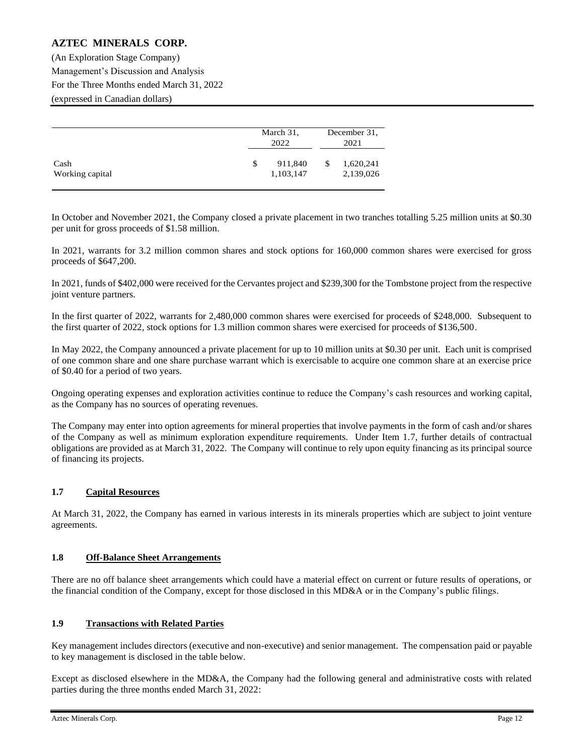(An Exploration Stage Company) Management's Discussion and Analysis For the Three Months ended March 31, 2022 (expressed in Canadian dollars)

|                         |   | March 31,<br>2022    | December 31,<br>2021         |  |  |
|-------------------------|---|----------------------|------------------------------|--|--|
| Cash<br>Working capital | S | 911,840<br>1,103,147 | \$<br>1,620,241<br>2,139,026 |  |  |

In October and November 2021, the Company closed a private placement in two tranches totalling 5.25 million units at \$0.30 per unit for gross proceeds of \$1.58 million.

In 2021, warrants for 3.2 million common shares and stock options for 160,000 common shares were exercised for gross proceeds of \$647,200.

In 2021, funds of \$402,000 were received for the Cervantes project and \$239,300 for the Tombstone project from the respective joint venture partners.

In the first quarter of 2022, warrants for 2,480,000 common shares were exercised for proceeds of \$248,000. Subsequent to the first quarter of 2022, stock options for 1.3 million common shares were exercised for proceeds of \$136,500.

In May 2022, the Company announced a private placement for up to 10 million units at \$0.30 per unit. Each unit is comprised of one common share and one share purchase warrant which is exercisable to acquire one common share at an exercise price of \$0.40 for a period of two years.

Ongoing operating expenses and exploration activities continue to reduce the Company's cash resources and working capital, as the Company has no sources of operating revenues.

The Company may enter into option agreements for mineral properties that involve payments in the form of cash and/or shares of the Company as well as minimum exploration expenditure requirements. Under Item 1.7, further details of contractual obligations are provided as at March 31, 2022. The Company will continue to rely upon equity financing as its principal source of financing its projects.

## **1.7 Capital Resources**

At March 31, 2022, the Company has earned in various interests in its minerals properties which are subject to joint venture agreements.

### **1.8 Off-Balance Sheet Arrangements**

There are no off balance sheet arrangements which could have a material effect on current or future results of operations, or the financial condition of the Company, except for those disclosed in this MD&A or in the Company's public filings.

### **1.9 Transactions with Related Parties**

Key management includes directors (executive and non-executive) and senior management. The compensation paid or payable to key management is disclosed in the table below.

Except as disclosed elsewhere in the MD&A, the Company had the following general and administrative costs with related parties during the three months ended March 31, 2022: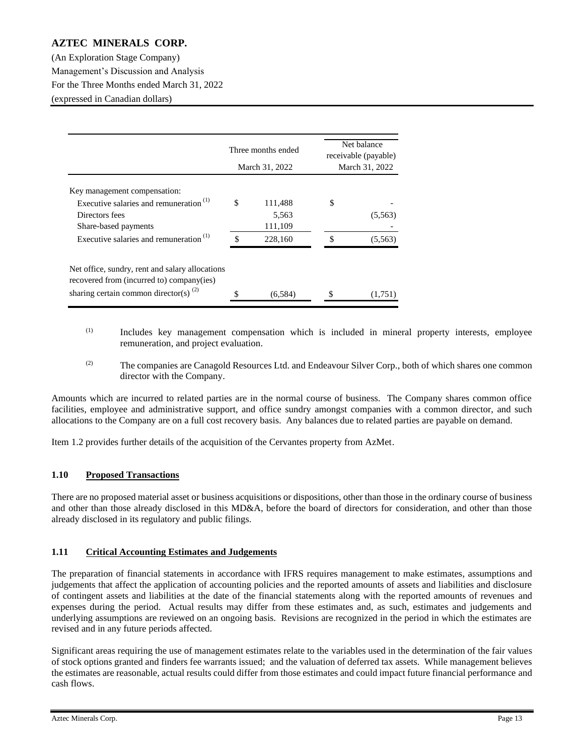(An Exploration Stage Company) Management's Discussion and Analysis For the Three Months ended March 31, 2022 (expressed in Canadian dollars)

|                                                                                              | Three months ended |   | Net balance<br>receivable (payable) |
|----------------------------------------------------------------------------------------------|--------------------|---|-------------------------------------|
|                                                                                              | March 31, 2022     |   | March 31, 2022                      |
| Key management compensation:                                                                 |                    |   |                                     |
| Executive salaries and remuneration <sup>(1)</sup>                                           | \$<br>111,488      | S |                                     |
| Directors fees                                                                               | 5,563              |   | (5,563)                             |
| Share-based payments                                                                         | 111,109            |   |                                     |
| Executive salaries and remuneration $(1)$                                                    | \$<br>228,160      | S | (5,563)                             |
| Net office, sundry, rent and salary allocations<br>recovered from (incurred to) company(ies) |                    |   |                                     |
| sharing certain common director(s) $^{(2)}$                                                  | (6, 584)           |   | (1,751)                             |

- (1) Includes key management compensation which is included in mineral property interests, employee remuneration, and project evaluation.
- $(2)$  The companies are Canagold Resources Ltd. and Endeavour Silver Corp., both of which shares one common director with the Company.

Amounts which are incurred to related parties are in the normal course of business. The Company shares common office facilities, employee and administrative support, and office sundry amongst companies with a common director, and such allocations to the Company are on a full cost recovery basis. Any balances due to related parties are payable on demand.

Item 1.2 provides further details of the acquisition of the Cervantes property from AzMet.

### **1.10 Proposed Transactions**

There are no proposed material asset or business acquisitions or dispositions, other than those in the ordinary course of business and other than those already disclosed in this MD&A, before the board of directors for consideration, and other than those already disclosed in its regulatory and public filings.

### **1.11 Critical Accounting Estimates and Judgements**

The preparation of financial statements in accordance with IFRS requires management to make estimates, assumptions and judgements that affect the application of accounting policies and the reported amounts of assets and liabilities and disclosure of contingent assets and liabilities at the date of the financial statements along with the reported amounts of revenues and expenses during the period. Actual results may differ from these estimates and, as such, estimates and judgements and underlying assumptions are reviewed on an ongoing basis. Revisions are recognized in the period in which the estimates are revised and in any future periods affected.

Significant areas requiring the use of management estimates relate to the variables used in the determination of the fair values of stock options granted and finders fee warrants issued; and the valuation of deferred tax assets. While management believes the estimates are reasonable, actual results could differ from those estimates and could impact future financial performance and cash flows.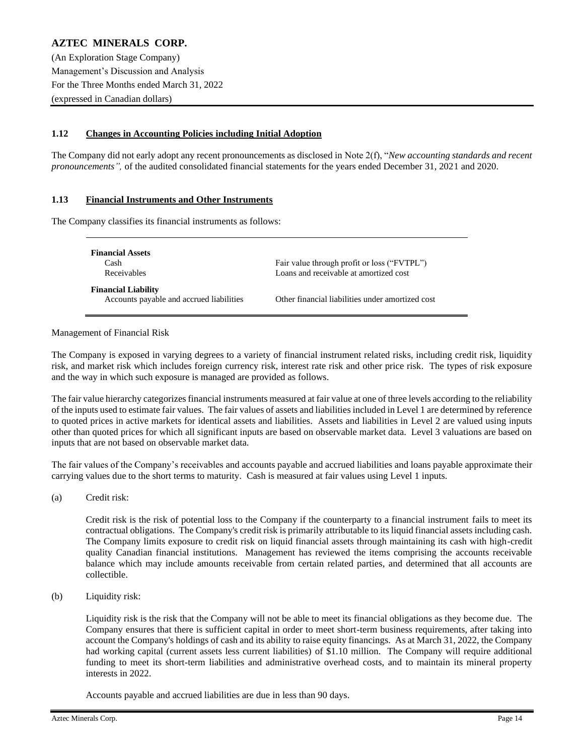(An Exploration Stage Company) Management's Discussion and Analysis For the Three Months ended March 31, 2022 (expressed in Canadian dollars)

## **1.12 Changes in Accounting Policies including Initial Adoption**

The Company did not early adopt any recent pronouncements as disclosed in Note 2(f), "*New accounting standards and recent pronouncements",* of the audited consolidated financial statements for the years ended December 31, 2021 and 2020.

### **1.13 Financial Instruments and Other Instruments**

The Company classifies its financial instruments as follows:

| <b>Financial Assets</b><br>Cash<br>Receivables                         | Fair value through profit or loss ("FVTPL")<br>Loans and receivable at amortized cost |
|------------------------------------------------------------------------|---------------------------------------------------------------------------------------|
| <b>Financial Liability</b><br>Accounts payable and accrued liabilities | Other financial liabilities under amortized cost                                      |

### Management of Financial Risk

The Company is exposed in varying degrees to a variety of financial instrument related risks, including credit risk, liquidity risk, and market risk which includes foreign currency risk, interest rate risk and other price risk. The types of risk exposure and the way in which such exposure is managed are provided as follows.

The fair value hierarchy categorizes financial instruments measured at fair value at one of three levels according to the reliability of the inputs used to estimate fair values. The fair values of assets and liabilities included in Level 1 are determined by reference to quoted prices in active markets for identical assets and liabilities. Assets and liabilities in Level 2 are valued using inputs other than quoted prices for which all significant inputs are based on observable market data. Level 3 valuations are based on inputs that are not based on observable market data.

The fair values of the Company's receivables and accounts payable and accrued liabilities and loans payable approximate their carrying values due to the short terms to maturity. Cash is measured at fair values using Level 1 inputs.

(a) Credit risk:

Credit risk is the risk of potential loss to the Company if the counterparty to a financial instrument fails to meet its contractual obligations. The Company's credit risk is primarily attributable to its liquid financial assets including cash. The Company limits exposure to credit risk on liquid financial assets through maintaining its cash with high-credit quality Canadian financial institutions. Management has reviewed the items comprising the accounts receivable balance which may include amounts receivable from certain related parties, and determined that all accounts are collectible.

(b) Liquidity risk:

Liquidity risk is the risk that the Company will not be able to meet its financial obligations as they become due. The Company ensures that there is sufficient capital in order to meet short-term business requirements, after taking into account the Company's holdings of cash and its ability to raise equity financings. As at March 31, 2022, the Company had working capital (current assets less current liabilities) of \$1.10 million. The Company will require additional funding to meet its short-term liabilities and administrative overhead costs, and to maintain its mineral property interests in 2022.

Accounts payable and accrued liabilities are due in less than 90 days.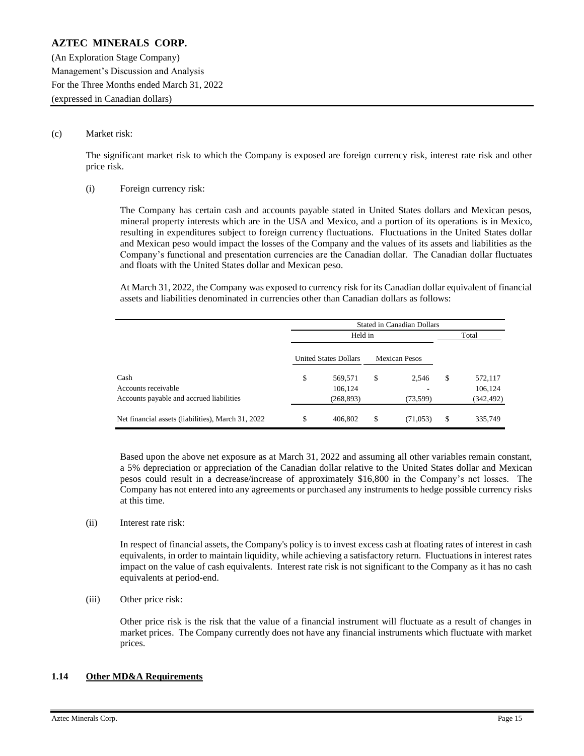(An Exploration Stage Company) Management's Discussion and Analysis For the Three Months ended March 31, 2022 (expressed in Canadian dollars)

#### (c) Market risk:

The significant market risk to which the Company is exposed are foreign currency risk, interest rate risk and other price risk.

#### (i) Foreign currency risk:

The Company has certain cash and accounts payable stated in United States dollars and Mexican pesos, mineral property interests which are in the USA and Mexico, and a portion of its operations is in Mexico, resulting in expenditures subject to foreign currency fluctuations. Fluctuations in the United States dollar and Mexican peso would impact the losses of the Company and the values of its assets and liabilities as the Company's functional and presentation currencies are the Canadian dollar. The Canadian dollar fluctuates and floats with the United States dollar and Mexican peso.

At March 31, 2022, the Company was exposed to currency risk for its Canadian dollar equivalent of financial assets and liabilities denominated in currencies other than Canadian dollars as follows:

|                                                    | <b>Stated in Canadian Dollars</b> |                              |       |                      |    |            |  |  |  |  |  |
|----------------------------------------------------|-----------------------------------|------------------------------|-------|----------------------|----|------------|--|--|--|--|--|
|                                                    |                                   |                              | Total |                      |    |            |  |  |  |  |  |
|                                                    |                                   | <b>United States Dollars</b> |       | <b>Mexican Pesos</b> |    |            |  |  |  |  |  |
| Cash                                               | \$                                | 569,571                      | \$    | 2,546                | \$ | 572,117    |  |  |  |  |  |
| Accounts receivable                                |                                   | 106,124                      |       |                      |    | 106,124    |  |  |  |  |  |
| Accounts payable and accrued liabilities           |                                   | (268, 893)                   |       | (73, 599)            |    | (342, 492) |  |  |  |  |  |
| Net financial assets (liabilities), March 31, 2022 | \$                                | 406,802                      | \$    | (71,053)             | \$ | 335,749    |  |  |  |  |  |

Based upon the above net exposure as at March 31, 2022 and assuming all other variables remain constant, a 5% depreciation or appreciation of the Canadian dollar relative to the United States dollar and Mexican pesos could result in a decrease/increase of approximately \$16,800 in the Company's net losses. The Company has not entered into any agreements or purchased any instruments to hedge possible currency risks at this time.

#### (ii) Interest rate risk:

In respect of financial assets, the Company's policy is to invest excess cash at floating rates of interest in cash equivalents, in order to maintain liquidity, while achieving a satisfactory return. Fluctuations in interest rates impact on the value of cash equivalents. Interest rate risk is not significant to the Company as it has no cash equivalents at period-end.

#### (iii) Other price risk:

Other price risk is the risk that the value of a financial instrument will fluctuate as a result of changes in market prices. The Company currently does not have any financial instruments which fluctuate with market prices.

### **1.14 Other MD&A Requirements**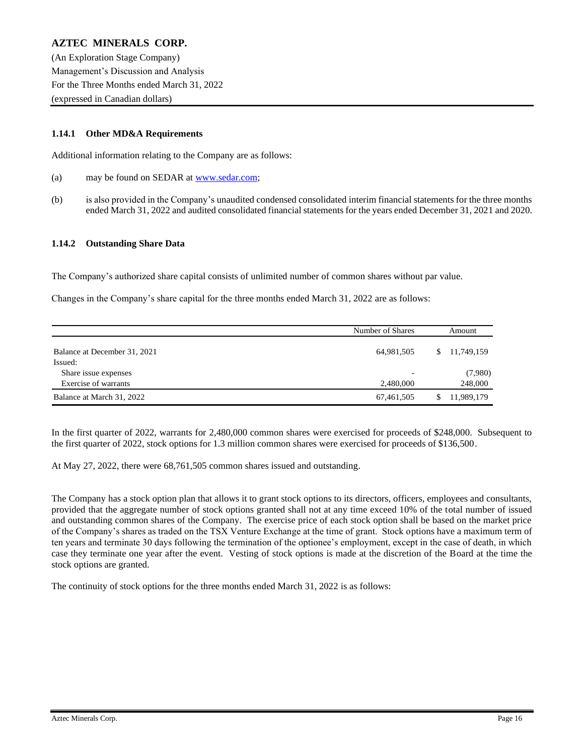(An Exploration Stage Company) Management's Discussion and Analysis For the Three Months ended March 31, 2022 (expressed in Canadian dollars)

### **1.14.1 Other MD&A Requirements**

Additional information relating to the Company are as follows:

- (a) may be found on SEDAR at [www.sedar.com;](http://www.sedar.com/)
- (b) is also provided in the Company's unaudited condensed consolidated interim financial statements for the three months ended March 31, 2022 and audited consolidated financial statements for the years ended December 31, 2021 and 2020.

#### **1.14.2 Outstanding Share Data**

The Company's authorized share capital consists of unlimited number of common shares without par value.

Changes in the Company's share capital for the three months ended March 31, 2022 are as follows:

|                              | Number of Shares |    | Amount     |  |
|------------------------------|------------------|----|------------|--|
| Balance at December 31, 2021 | 64,981,505       | S. | 11,749,159 |  |
| Issued:                      |                  |    |            |  |
| Share issue expenses         |                  |    | (7,980)    |  |
| Exercise of warrants         | 2.480,000        |    | 248,000    |  |
| Balance at March 31, 2022    | 67,461,505       |    | 11,989,179 |  |

In the first quarter of 2022, warrants for 2,480,000 common shares were exercised for proceeds of \$248,000. Subsequent to the first quarter of 2022, stock options for 1.3 million common shares were exercised for proceeds of \$136,500.

At May 27, 2022, there were 68,761,505 common shares issued and outstanding.

The Company has a stock option plan that allows it to grant stock options to its directors, officers, employees and consultants, provided that the aggregate number of stock options granted shall not at any time exceed 10% of the total number of issued and outstanding common shares of the Company. The exercise price of each stock option shall be based on the market price of the Company's shares as traded on the TSX Venture Exchange at the time of grant. Stock options have a maximum term of ten years and terminate 30 days following the termination of the optionee's employment, except in the case of death, in which case they terminate one year after the event. Vesting of stock options is made at the discretion of the Board at the time the stock options are granted.

The continuity of stock options for the three months ended March 31, 2022 is as follows: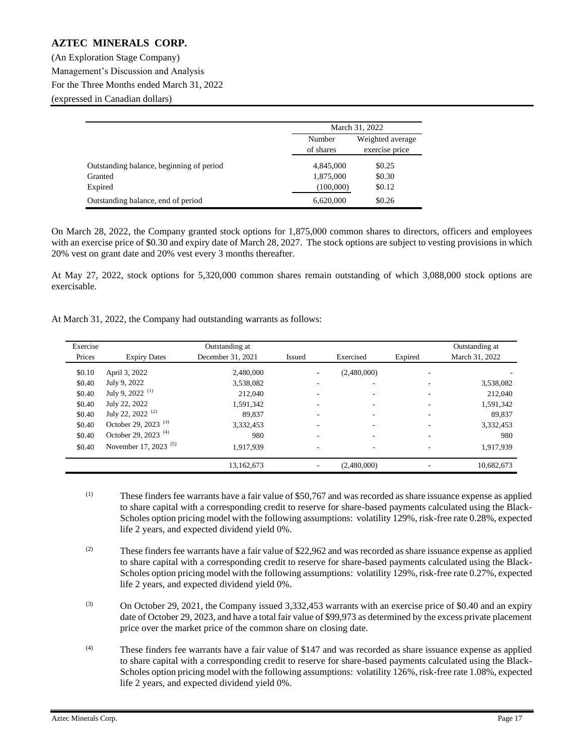(An Exploration Stage Company) Management's Discussion and Analysis For the Three Months ended March 31, 2022 (expressed in Canadian dollars)

|                                          | March 31, 2022      |                                    |  |
|------------------------------------------|---------------------|------------------------------------|--|
|                                          | Number<br>of shares | Weighted average<br>exercise price |  |
| Outstanding balance, beginning of period | 4,845,000           | \$0.25                             |  |
| Granted                                  | 1,875,000           | \$0.30                             |  |
| Expired                                  | (100,000)           | \$0.12                             |  |
| Outstanding balance, end of period       | 6,620,000           | \$0.26                             |  |

On March 28, 2022, the Company granted stock options for 1,875,000 common shares to directors, officers and employees with an exercise price of \$0.30 and expiry date of March 28, 2027. The stock options are subject to vesting provisions in which 20% vest on grant date and 20% vest every 3 months thereafter.

At May 27, 2022, stock options for 5,320,000 common shares remain outstanding of which 3,088,000 stock options are exercisable.

|  |  | At March 31, 2022, the Company had outstanding warrants as follows: |
|--|--|---------------------------------------------------------------------|
|  |  |                                                                     |

| Exercise |                                  | Outstanding at    |        |                          |         | Outstanding at |
|----------|----------------------------------|-------------------|--------|--------------------------|---------|----------------|
| Prices   | <b>Expiry Dates</b>              | December 31, 2021 | Issued | Exercised                | Expired | March 31, 2022 |
| \$0.10   | April 3, 2022                    | 2,480,000         |        | (2,480,000)              |         |                |
| \$0.40   | July 9, 2022                     | 3,538,082         | -      |                          |         | 3,538,082      |
| \$0.40   | July 9, 2022 <sup>(1)</sup>      | 212,040           |        | ۰.                       |         | 212,040        |
| \$0.40   | July 22, 2022                    | 1,591,342         |        | ۰                        |         | 1,591,342      |
| \$0.40   | July 22, 2022 <sup>(2)</sup>     | 89.837            |        |                          |         | 89.837         |
| \$0.40   | October 29, 2023 <sup>(3)</sup>  | 3,332,453         |        |                          |         | 3,332,453      |
| \$0.40   | October 29, 2023 <sup>(4)</sup>  | 980               | ۰      | $\overline{\phantom{a}}$ |         | 980            |
| \$0.40   | November 17, 2023 <sup>(5)</sup> | 1,917,939         | -      | ۰                        |         | 1,917,939      |
|          |                                  | 13,162,673        |        | (2,480,000)              |         | 10,682,673     |

- $(1)$  These finders fee warrants have a fair value of \$50,767 and was recorded as share issuance expense as applied to share capital with a corresponding credit to reserve for share-based payments calculated using the Black-Scholes option pricing model with the following assumptions: volatility 129%, risk-free rate 0.28%, expected life 2 years, and expected dividend yield 0%.
- $(2)$  These finders fee warrants have a fair value of \$22,962 and was recorded as share issuance expense as applied to share capital with a corresponding credit to reserve for share-based payments calculated using the Black-Scholes option pricing model with the following assumptions: volatility 129%, risk-free rate 0.27%, expected life 2 years, and expected dividend yield 0%.
- (3) On October 29, 2021, the Company issued 3,332,453 warrants with an exercise price of \$0.40 and an expiry date of October 29, 2023, and have a total fair value of \$99,973 as determined by the excess private placement price over the market price of the common share on closing date.
- (4) These finders fee warrants have a fair value of \$147 and was recorded as share issuance expense as applied to share capital with a corresponding credit to reserve for share-based payments calculated using the Black-Scholes option pricing model with the following assumptions: volatility 126%, risk-free rate 1.08%, expected life 2 years, and expected dividend yield 0%.